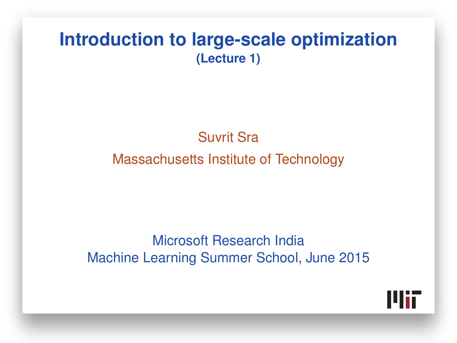#### **Introduction to large-scale optimization (Lecture 1)**

#### Suvrit Sra

#### Massachusetts Institute of Technology

#### Microsoft Research India Machine Learning Summer School, June 2015

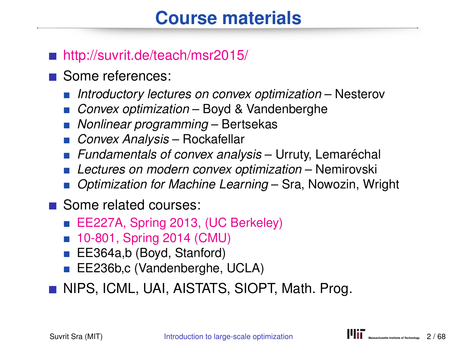# **Course materials**

#### ■ <http://suvrit.de/teach/msr2015/>

- Some references:
	- *Introductory lectures on convex optimization* Nesterov
	- *Convex optimization* Boyd & Vandenberghe
	- *Nonlinear programming* Bertsekas
	- *Convex Analysis* Rockafellar
	- **Fundamentals of convex analysis** Urruty, Lemaréchal
	- *Lectures on modern convex optimization* Nemirovski
	- *Optimization for Machine Learning* Sra, Nowozin, Wright
- Some related courses:
	- [EE227A, Spring 2013, \(UC Berkeley\)](http://suvrit.de/teach/ee227a/)
	- [10-801, Spring 2014 \(CMU\)](http://www.cs.cmu.edu/~suvrit/teach/aopt.html)
	- EE364a,b (Boyd, Stanford)
	- EE236b,c (Vandenberghe, UCLA)

**NIPS, ICML, UAI, AISTATS, SIOPT, Math. Prog.**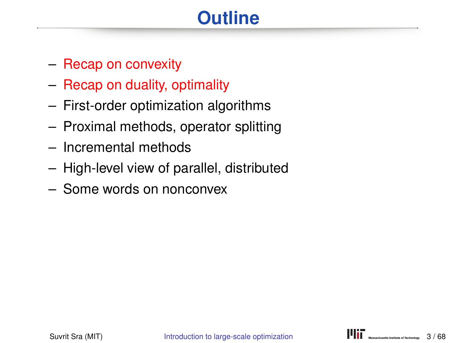# **Outline**

- Recap on convexity
- Recap on duality, optimality
- First-order optimization algorithms
- Proximal methods, operator splitting
- Incremental methods
- High-level view of parallel, distributed
- Some words on nonconvex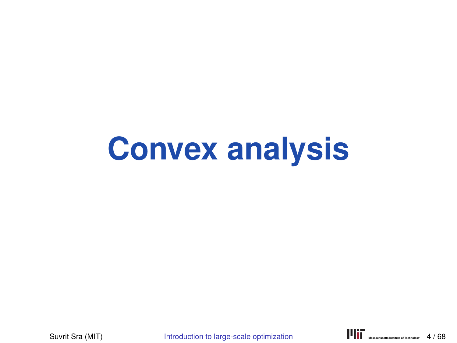# **Convex analysis**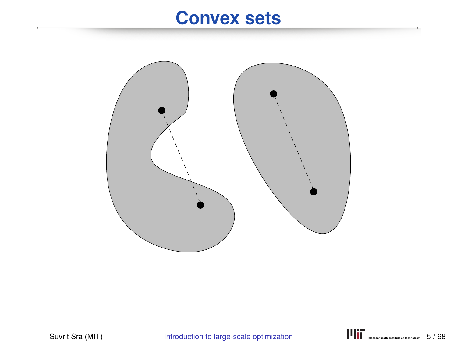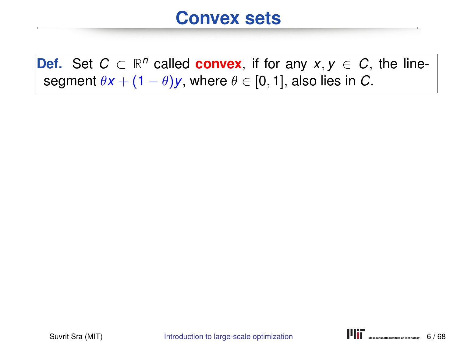**Def.** Set  $C \subset \mathbb{R}^n$  called **convex**, if for any  $x, y \in C$ , the linesegment  $\theta x + (1 - \theta)y$ , where  $\theta \in [0, 1]$ , also lies in *C*.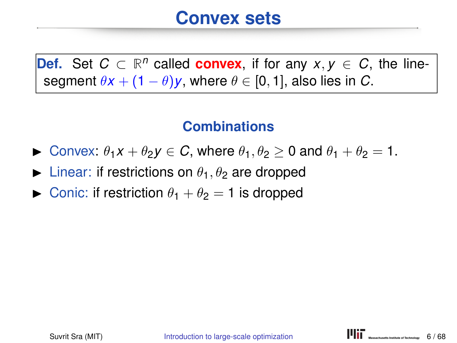**Def.** Set  $C \subset \mathbb{R}^n$  called **convex**, if for any  $x, y \in C$ , the linesegment  $\theta x + (1 - \theta)y$ , where  $\theta \in [0, 1]$ , also lies in *C*.

#### **Combinations**

- **If** Convex:  $\theta_1 x + \theta_2 y \in C$ , where  $\theta_1, \theta_2 > 0$  and  $\theta_1 + \theta_2 = 1$ .
- **In** Linear: if restrictions on  $\theta_1$ ,  $\theta_2$  are dropped
- **In Conic:** if restriction  $\theta_1 + \theta_2 = 1$  is dropped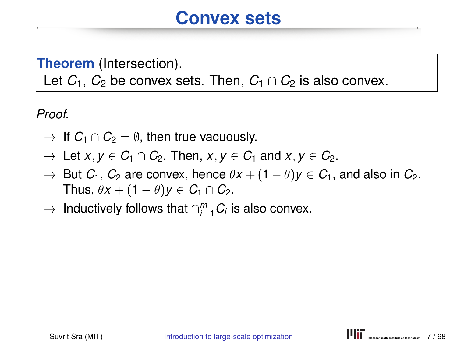**Theorem** (Intersection).

Let  $C_1$ ,  $C_2$  be convex sets. Then,  $C_1 \cap C_2$  is also convex.

*Proof.*

- $\rightarrow$  If  $C_1 \cap C_2 = \emptyset$ , then true vacuously.
- $\rightarrow$  Let *x*,  $y \in C_1 \cap C_2$ . Then,  $x, y \in C_1$  and  $x, y \in C_2$ .
- $\rightarrow$  But *C*<sub>1</sub>, *C*<sub>2</sub> are convex, hence  $\theta x + (1 \theta)y \in C_1$ , and also in *C*<sub>2</sub>. Thus,  $\theta x + (1 - \theta)y \in C_1 \cap C_2$ .
- $\rightarrow$  Inductively follows that  $\cap_{i=1}^m C_i$  is also convex.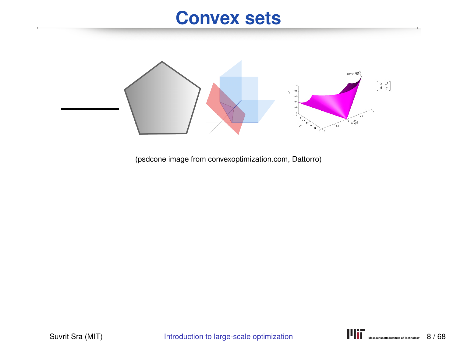

(psdcone image from convexoptimization.com, Dattorro)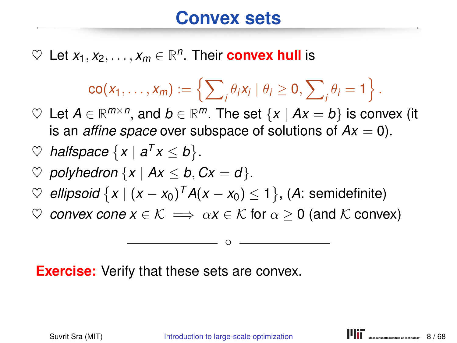$\heartsuit$  Let  $x_1, x_2, \ldots, x_m \in \mathbb{R}^n$ . Their **convex hull** is

$$
\mathsf{co}(x_1,\ldots,x_m):=\left\{\sum\nolimits_i\theta_i x_i\mid \theta_i\geq 0,\sum\nolimits_i\theta_i=1\right\}.
$$

 $\heartsuit$  Let *A* ∈ ℝ<sup>*m*×*n*</sup>, and *b* ∈ ℝ<sup>*m*</sup>. The set {*x* | *Ax* = *b*} is convex (it is an *affine space* over subspace of solutions of  $Ax = 0$ ).

$$
\heartspace{1}{\heartspace{1}}\text{pace} \{x \mid a^T x \leq b\}.
$$

- $\heartsuit$  *polyhedron*  $\{x \mid Ax \leq b, Cx = d\}.$
- ♡ *ellipsoid*  $\{x \mid (x x_0)^T A(x x_0) \leq 1\}$ , (A: semidefinite)
- $\heartsuit$  *convex cone*  $x \in \mathcal{K} \implies \alpha x \in \mathcal{K}$  for  $\alpha \geq 0$  (and  $\mathcal{K}$  convex)

◦

**Exercise:** Verify that these sets are convex.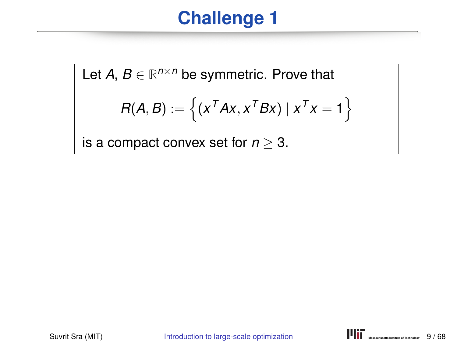# **Challenge 1**

Let  $A, B \in \mathbb{R}^{n \times n}$  be symmetric. Prove that

$$
R(A, B) := \left\{ (x^T A x, x^T B x) | x^T x = 1 \right\}
$$

is a compact convex set for  $n \geq 3$ .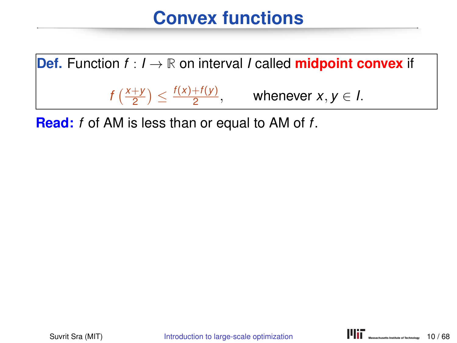

**Read:** *f* of AM is less than or equal to AM of *f*.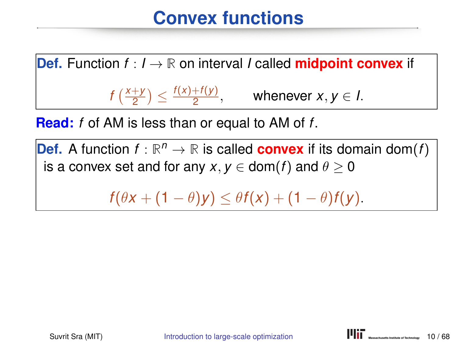

**Read:** *f* of AM is less than or equal to AM of *f*.

**Def.** A function  $f : \mathbb{R}^n \to \mathbb{R}$  is called **convex** if its domain dom(*f*) is a convex set and for any  $x, y \in \text{dom}(f)$  and  $\theta > 0$ 

 $f(\theta x + (1 - \theta)y) \leq \theta f(x) + (1 - \theta)f(y).$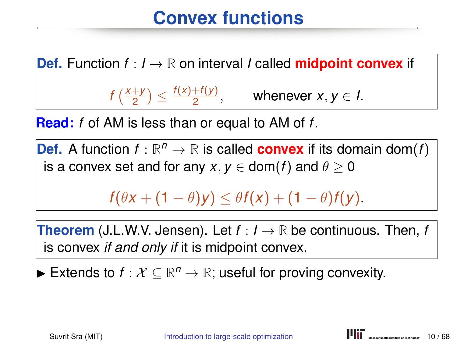**Def.** Function  $f: I \to \mathbb{R}$  on interval *I* called **midpoint convex** if  $f\left(\frac{x+y}{2}\right)$  $\left(\frac{f(x)+f(y)}{2}\right) \leq \frac{f(x)+f(y)}{2}$  $\frac{+(y)}{2}$ , whenever *x*, *y*  $\in$  *l*.

**Read:** *f* of AM is less than or equal to AM of *f*.

**Def.** A function  $f : \mathbb{R}^n \to \mathbb{R}$  is called **convex** if its domain dom(*f*) is a convex set and for any  $x, y \in \text{dom}(f)$  and  $\theta > 0$ 

 $f(\theta x + (1 - \theta)y) \leq \theta f(x) + (1 - \theta)f(y).$ 

**Theorem** (J.L.W.V. Jensen). Let *f* : *I* → **R** be continuous. Then, *f* is convex *if and only if* it is midpoint convex.

► Extends to  $f: \mathcal{X} \subseteq \mathbb{R}^n \to \mathbb{R}$ ; useful for proving convexity.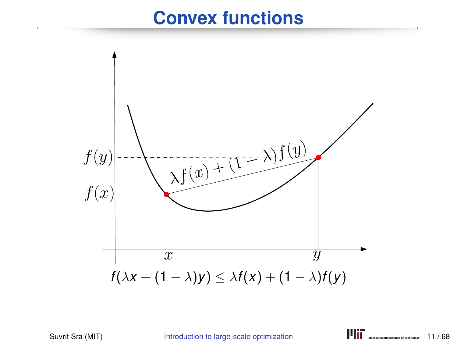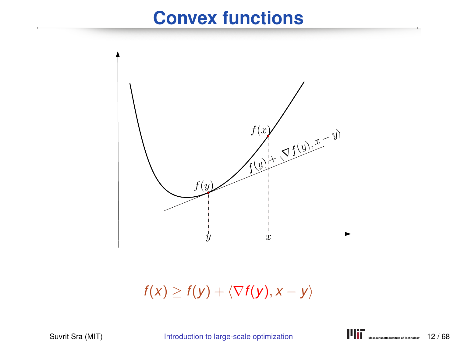

 $f(x) \geq f(y) + \langle \nabla f(y), x - y \rangle$ 

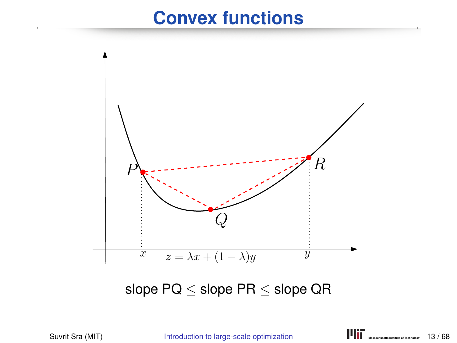

slope  $PQ \le$  slope  $PR \le$  slope  $QR$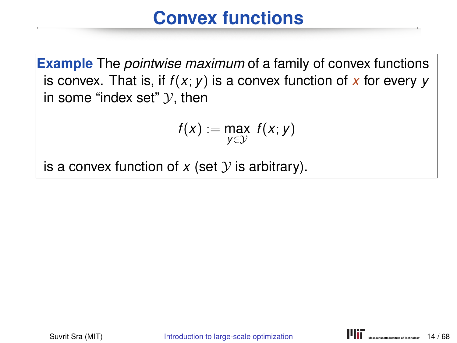**Example** The *pointwise maximum* of a family of convex functions is convex. That is, if  $f(x; y)$  is a convex function of  $x$  for every  $y$ in some "index set"  $\mathcal{Y}$ , then

$$
f(x) := \max_{y \in \mathcal{Y}} f(x; y)
$$

is a convex function of  $x$  (set  $y$  is arbitrary).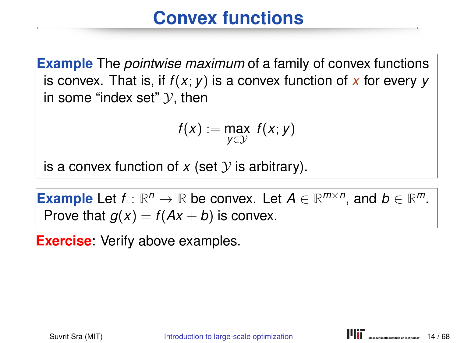**Example** The *pointwise maximum* of a family of convex functions is convex. That is, if  $f(x; y)$  is a convex function of  $x$  for every  $y$ in some "index set"  $\mathcal{Y}$ , then

$$
f(x) := \max_{y \in \mathcal{Y}} f(x; y)
$$

is a convex function of  $x$  (set  $y$  is arbitrary).

**Example** Let  $f : \mathbb{R}^n \to \mathbb{R}$  be convex. Let  $A \in \mathbb{R}^{m \times n}$ , and  $b \in \mathbb{R}^m$ . Prove that  $g(x) = f(Ax + b)$  is convex.

**Exercise**: Verify above examples.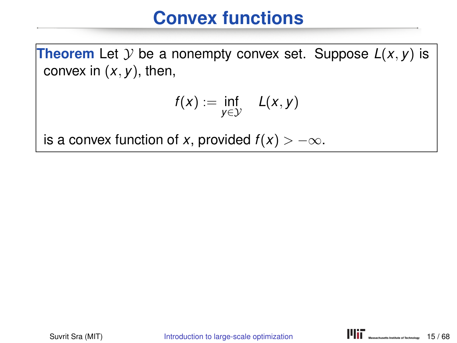**Theorem** Let  $Y$  be a nonempty convex set. Suppose  $L(x, y)$  is convex in  $(x, y)$ , then,

$$
f(x) := \inf_{y \in \mathcal{Y}} L(x, y)
$$

is a convex function of *x*, provided  $f(x) > -\infty$ .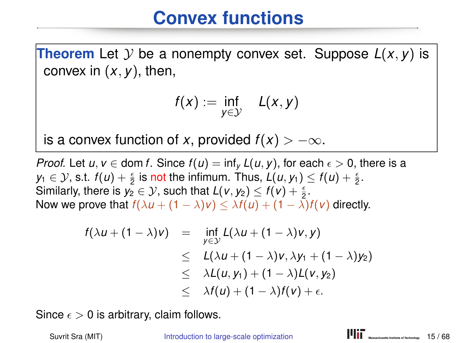**Theorem** Let  $Y$  be a nonempty convex set. Suppose  $L(x, y)$  is convex in (*x*, *y*), then,

$$
f(x) := \inf_{y \in \mathcal{Y}} L(x, y)
$$

is a convex function of *x*, provided  $f(x) > -\infty$ .

*Proof.* Let  $u, v \in \text{dom } f$ . Since  $f(u) = \inf_{v} L(u, v)$ , for each  $\epsilon > 0$ , there is a  $y_1 \in \mathcal{Y}$ , s.t.  $f(u) + \frac{\epsilon}{2}$  is not the infimum. Thus,  $L(u, y_1) \le f(u) + \frac{\epsilon}{2}$ . Similarly, there is  $y_2 \in \mathcal{Y}$ , such that  $L(v, y_2) \leq f(v) + \frac{\epsilon}{2}$ . Now we prove that  $f(\lambda u + (1 - \lambda)v) \leq \lambda f(u) + (1 - \lambda)f(v)$  directly.

$$
f(\lambda u + (1 - \lambda)v) = \inf_{y \in \mathcal{Y}} L(\lambda u + (1 - \lambda)v, y)
$$
  
\n
$$
\leq L(\lambda u + (1 - \lambda)v, \lambda y_1 + (1 - \lambda)y_2)
$$
  
\n
$$
\leq \lambda L(u, y_1) + (1 - \lambda)L(v, y_2)
$$
  
\n
$$
\leq \lambda f(u) + (1 - \lambda)f(v) + \epsilon.
$$

Since  $\epsilon > 0$  is arbitrary, claim follows.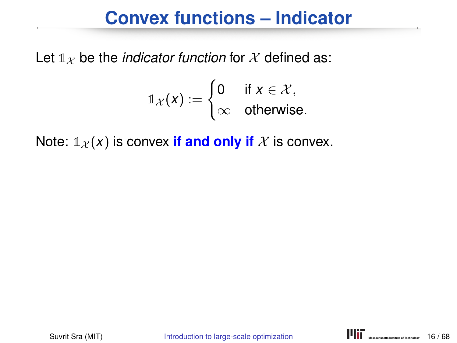#### **Convex functions – Indicator**

Let  $\mathbb{1}_X$  be the *indicator function* for X defined as:

$$
\mathbb{1}_{\mathcal{X}}(x) := \begin{cases} 0 & \text{if } x \in \mathcal{X}, \\ \infty & \text{otherwise.} \end{cases}
$$

Note:  $\mathbb{1}_{\mathcal{X}}(x)$  is convex **if and only if** X is convex.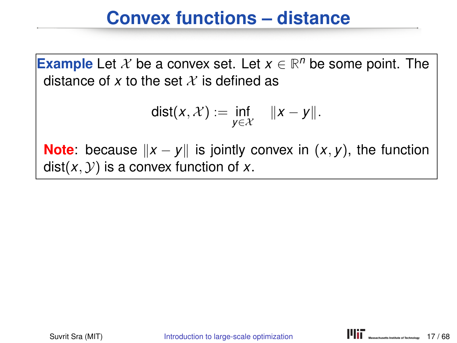#### **Convex functions – distance**

**Example** Let  $X$  be a convex set. Let  $x \in \mathbb{R}^n$  be some point. The distance of x to the set  $\mathcal X$  is defined as

$$
dist(x, \mathcal{X}) := \inf_{y \in \mathcal{X}} \quad ||x - y||.
$$

**Note**: because  $||x - y||$  is jointly convex in  $(x, y)$ , the function  $dist(x, y)$  is a convex function of x.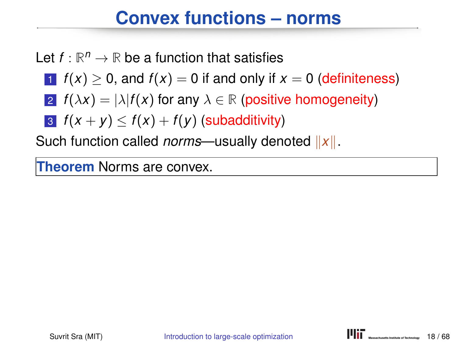# **Convex functions – norms**

Let  $f : \mathbb{R}^n \to \mathbb{R}$  be a function that satisfies

- 1  $f(x) > 0$ , and  $f(x) = 0$  if and only if  $x = 0$  (definiteness)
- 2  $f(\lambda x) = |\lambda| f(x)$  for any  $\lambda \in \mathbb{R}$  (positive homogeneity)
- 3  $f(x + y) \leq f(x) + f(y)$  (subadditivity)

Such function called *norms*—usually denoted  $||x||$ .

**Theorem** Norms are convex.

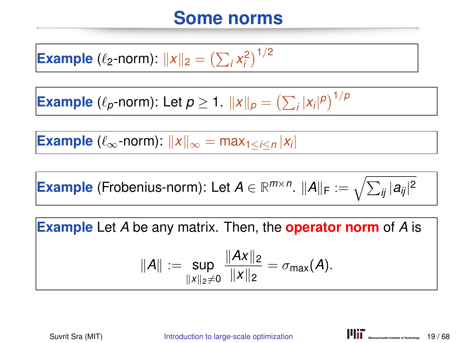#### **Some norms**

**Example** ( $\ell_2$ -norm):  $||x||_2 = (\sum_i x_i^2)^{1/2}$ 

**Example** ( $\ell_p$ -norm): Let  $p \ge 1$ .  $||x||_p = \left(\sum_i |x_i|^p\right)^{1/p}$ 

**Example** ( $\ell_{\infty}$ -norm):  $||x||_{\infty} = max_{1 \leq i \leq n} |x_i|$ 

 $\bm{\mathsf{Example}}$  (Frobenius-norm): Let  $\bm{\mathsf{A}}\in\mathbb{R}^{m\times n}.$   $\|\bm{\mathsf{A}}\|_{\mathsf{F}}:=\sqrt{\sum_{ij}|a_{ij}|^2}$ 

**Example** Let *A* be any matrix. Then, the **operator norm** of *A* is

$$
||A|| := \sup_{||x||_2 \neq 0} \frac{||Ax||_2}{||x||_2} = \sigma_{\max}(A).
$$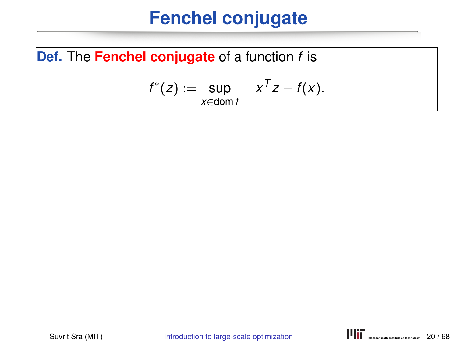**Def.** The **Fenchel conjugate** of a function *f* is

$$
f^*(z) := \sup_{x \in \text{dom } f} x^T z - f(x).
$$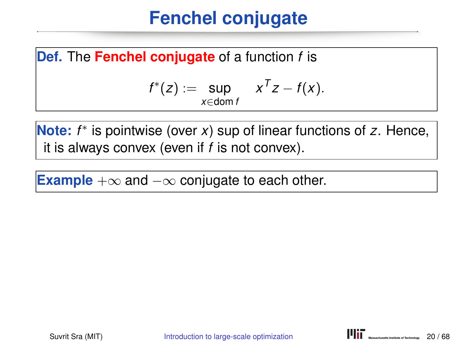**Def.** The **Fenchel conjugate** of a function *f* is

$$
f^*(z) := \sup_{x \in \text{dom } f} x^T z - f(x).
$$

**Note:** *f* ∗ is pointwise (over *x*) sup of linear functions of *z*. Hence, it is always convex (even if *f* is not convex).

**Example** +∞ and −∞ conjugate to each other.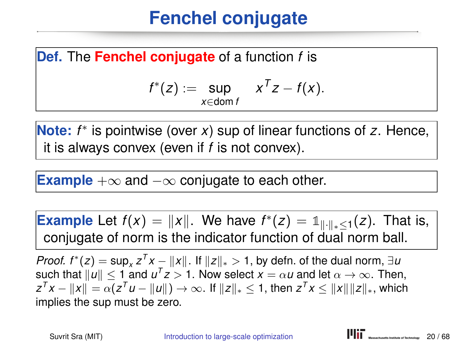**Def.** The **Fenchel conjugate** of a function *f* is

$$
f^*(z) := \sup_{x \in \text{dom } f} x^T z - f(x).
$$

**Note:** *f* ∗ is pointwise (over *x*) sup of linear functions of *z*. Hence, it is always convex (even if *f* is not convex).

**Example** +∞ and −∞ conjugate to each other.

**Example** Let  $f(x) = ||x||$ . We have  $f^*(z) = 1||x||_* \leq 1$  (*z*). That is, conjugate of norm is the indicator function of dual norm ball.

*Proof. f* \*(*z*) = sup<sub>*x*</sub>  $z^T x - ||x||$ . If  $||z||_* > 1$ , by defn. of the dual norm, ∃*u* such that  $\|u\| \leq 1$  and  $u^Tz > 1.$  Now select  $x = \alpha u$  and let  $\alpha \to \infty.$  Then,  $z^T x - \|x\| = \alpha (z^T u - \|u\|) \to \infty.$  If  $\|z\|_* \leq 1,$  then  $z^T x \leq \|x\| \|z\|_*,$  which implies the sup must be zero.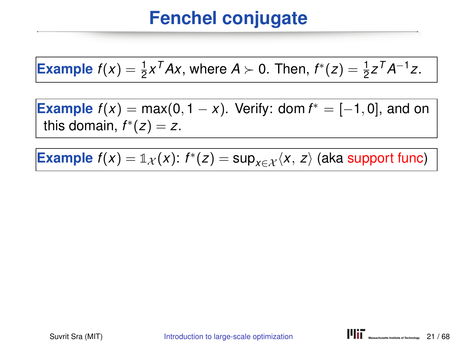**Example** 
$$
f(x) = \frac{1}{2}x^T A x
$$
, where  $A \succ 0$ . Then,  $f^*(z) = \frac{1}{2}z^T A^{-1} z$ .

**Example**  $f(x) = \max(0, 1 - x)$ . Verify: dom  $f^* = [-1, 0]$ , and on this domain,  $f^*(z) = z$ .

**Example**  $f(x) = \mathbb{1}_{\mathcal{X}}(x)$ :  $f^*(z) = \sup_{x \in \mathcal{X}} \langle x, z \rangle$  (aka support func)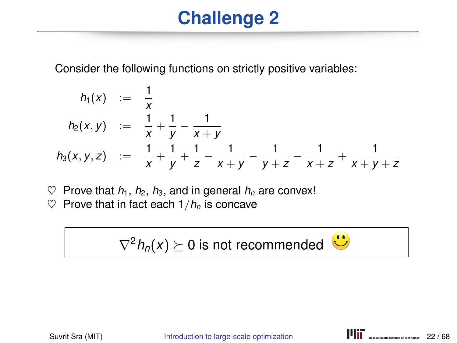# **Challenge 2**

Consider the following functions on strictly positive variables:

$$
h_1(x) := \frac{1}{x}
$$
  
\n
$$
h_2(x,y) := \frac{1}{x} + \frac{1}{y} - \frac{1}{x+y}
$$
  
\n
$$
h_3(x,y,z) := \frac{1}{x} + \frac{1}{y} + \frac{1}{z} - \frac{1}{x+y} - \frac{1}{y+z} - \frac{1}{x+z} + \frac{1}{x+y+z}
$$

 $\heartsuit$  Prove that  $h_1$ ,  $h_2$ ,  $h_3$ , and in general  $h_n$  are convex!

 $\heartsuit$  Prove that in fact each  $1/h_n$  is concave

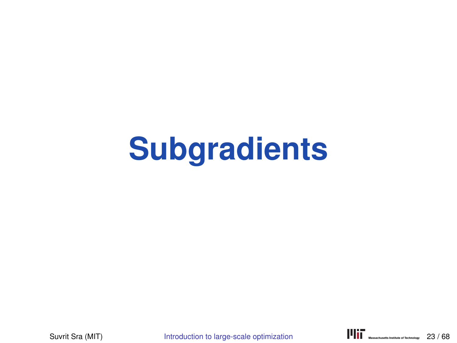# **Subgradients**

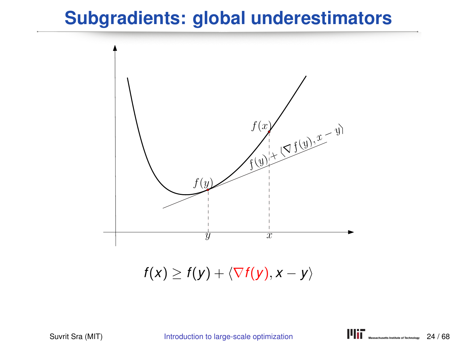## **Subgradients: global underestimators**



 $f(x) \geq f(y) + \langle \nabla f(y), x - y \rangle$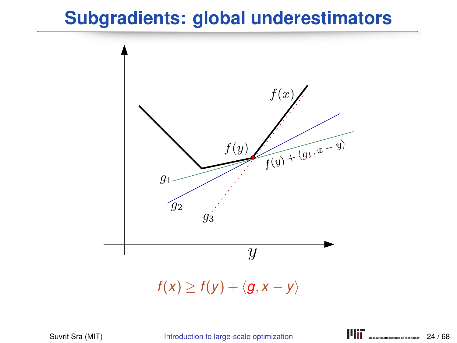### **Subgradients: global underestimators**

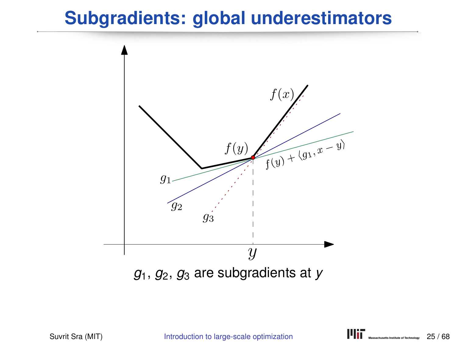## **Subgradients: global underestimators**

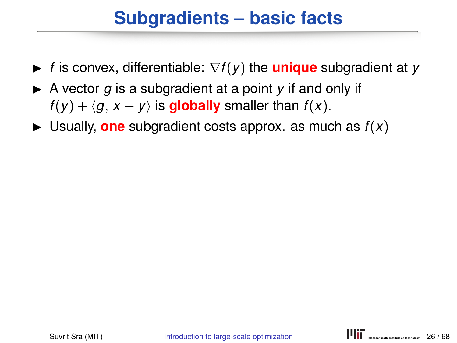# **Subgradients – basic facts**

- $\blacktriangleright$  *f* is convex, differentiable:  $\nabla f(y)$  the **unique** subgradient at *y*
- $\triangleright$  A vector *q* is a subgradient at a point *y* if and only if *f*(*y*) +  $\langle g, x - y \rangle$  is **globally** smaller than *f*(*x*).
- $\blacktriangleright$  Usually, **one** subgradient costs approx. as much as  $f(x)$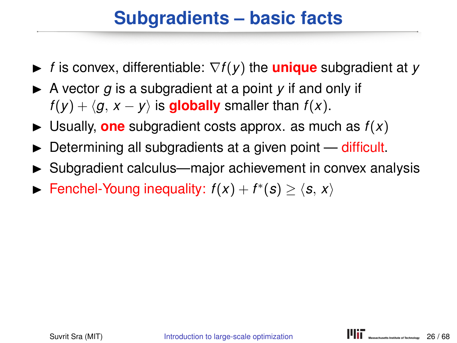# **Subgradients – basic facts**

- <sup>I</sup> *<sup>f</sup>* is convex, differentiable: <sup>∇</sup>*f*(*y*) the **unique** subgradient at *<sup>y</sup>*
- $\triangleright$  A vector *q* is a subgradient at a point *y* if and only if *f*(*y*) +  $\langle g, x - y \rangle$  is **globally** smaller than *f*(*x*).
- $\blacktriangleright$  Usually, **one** subgradient costs approx. as much as  $f(x)$
- $\triangleright$  Determining all subgradients at a given point difficult.
- $\triangleright$  Subgradient calculus—major achievement in convex analysis
- ► Fenchel-Young inequality:  $f(x) + f^*(s) \ge \langle s, x \rangle$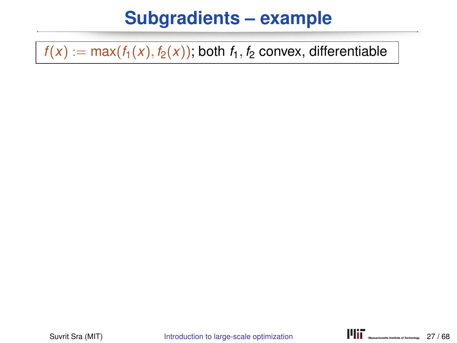$f(x) := max(f_1(x), f_2(x))$ ; both  $f_1, f_2$  convex, differentiable

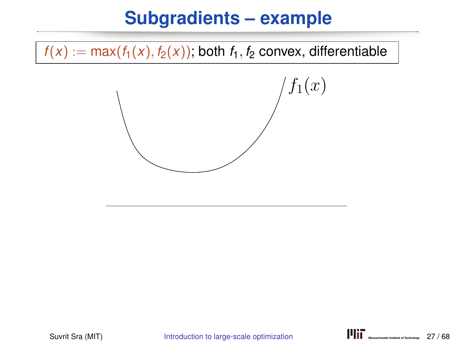$f(x) := max(f_1(x), f_2(x))$ ; both  $f_1, f_2$  convex, differentiable

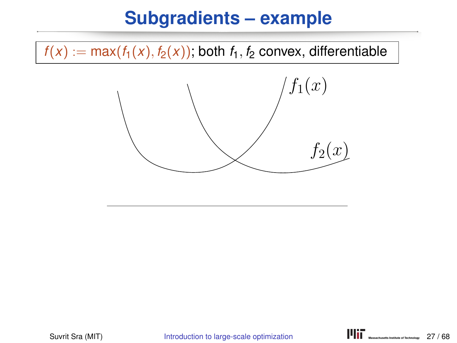$f(x) := \max(f_1(x), f_2(x))$ ; both  $f_1, f_2$  convex, differentiable

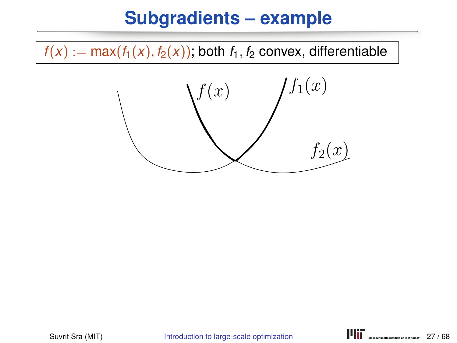$f(x) := max(f_1(x), f_2(x))$ ; both  $f_1, f_2$  convex, differentiable

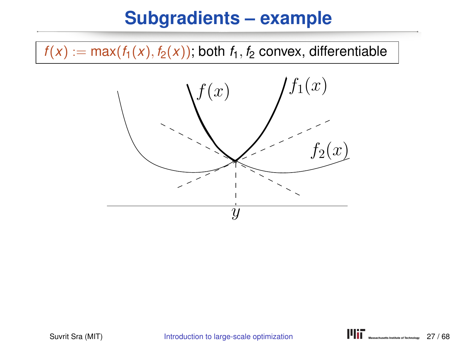$f(x) := max(f_1(x), f_2(x))$ ; both  $f_1, f_2$  convex, differentiable

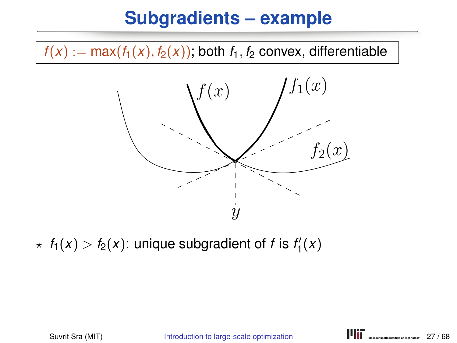$f(x) := max(f_1(x), f_2(x))$ ; both  $f_1, f_2$  convex, differentiable



 $\star$   $f_1(x) > f_2(x)$ : unique subgradient of *f* is  $f'_1(x)$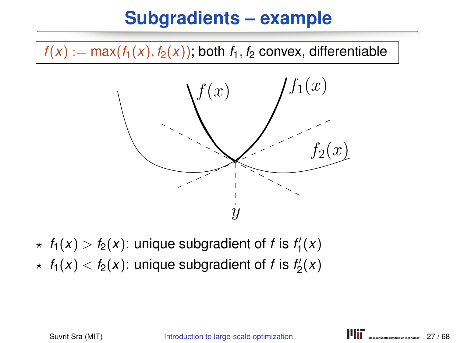$f(x) := max(f_1(x), f_2(x))$ ; both  $f_1, f_2$  convex, differentiable



 $\star$   $f_1(x) > f_2(x)$ : unique subgradient of *f* is  $f'_1(x)$  $\star$   $f_1(x) < f_2(x)$ : unique subgradient of *f* is  $f_2'(x)$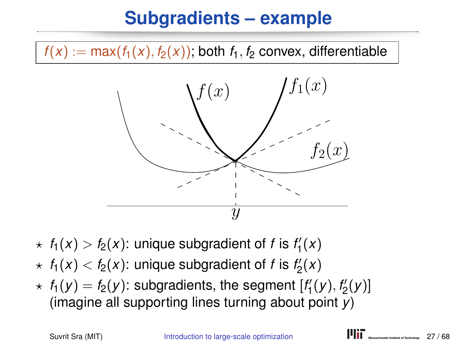$f(x) := \max(f_1(x), f_2(x))$ ; both  $f_1, f_2$  convex, differentiable



- $\star$   $f_1(x) > f_2(x)$ : unique subgradient of *f* is  $f'_1(x)$
- $\star$   $f_1(x) < f_2(x)$ : unique subgradient of *f* is  $f_2'(x)$
- $\star$   $f_1(y) = f_2(y)$ : subgradients, the segment  $[f'_1(y), f'_2(y)]$ (imagine all supporting lines turning about point *y*)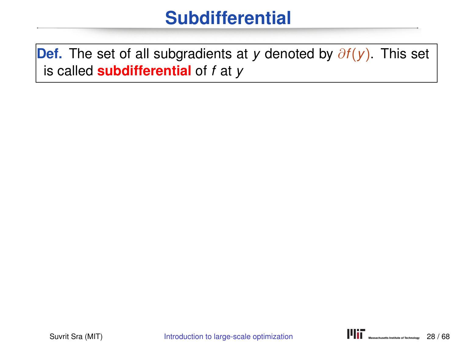**Def.** The set of all subgradients at *y* denoted by ∂*f*(*y*). This set is called **subdifferential** of *f* at *y*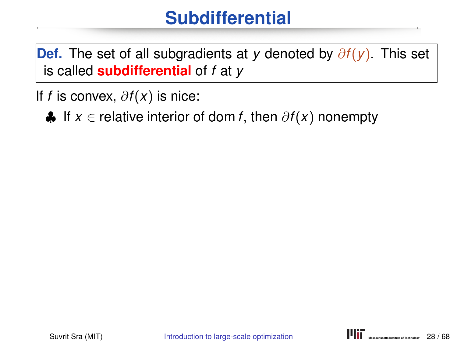**Def.** The set of all subgradients at *y* denoted by ∂*f*(*y*). This set is called **subdifferential** of *f* at *y*

If *f* is convex, ∂*f*(*x*) is nice:

♣ If *x* ∈ relative interior of dom *f*, then ∂*f*(*x*) nonempty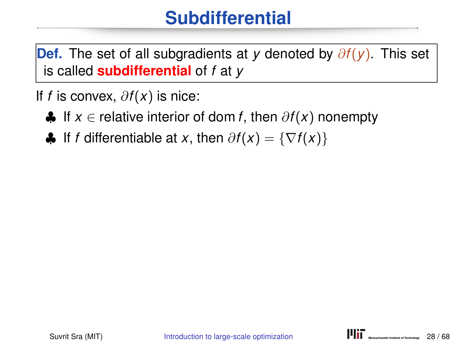**Def.** The set of all subgradients at *y* denoted by ∂*f*(*y*). This set is called **subdifferential** of *f* at *y*

If *f* is convex, ∂*f*(*x*) is nice:

- ♣ If *x* ∈ relative interior of dom *f*, then ∂*f*(*x*) nonempty
- $\bigoplus$  If *f* differentiable at *x*, then  $\partial f(x) = \{\nabla f(x)\}\$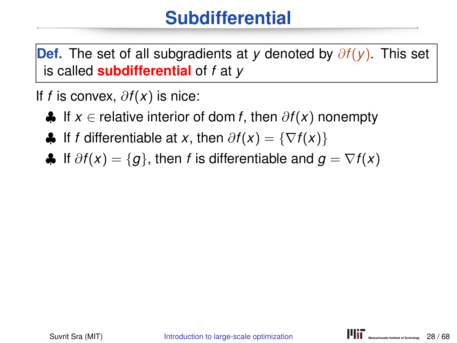**Def.** The set of all subgradients at *y* denoted by ∂*f*(*y*). This set is called **subdifferential** of *f* at *y*

If *f* is convex, ∂*f*(*x*) is nice:

- ♣ If *x* ∈ relative interior of dom *f*, then ∂*f*(*x*) nonempty
- $\bigoplus$  If *f* differentiable at *x*, then  $\partial f(x) = \{\nabla f(x)\}\$
- $\bigoplus$  If  $\partial f(x) = \{g\}$ , then *f* is differentiable and  $g = \nabla f(x)$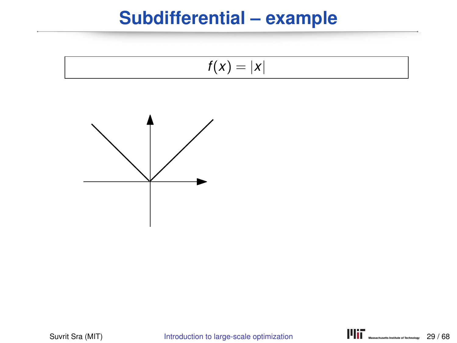#### **Subdifferential – example**

$$
f(x)=|x|
$$



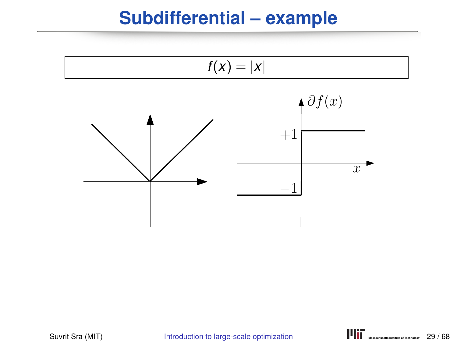#### **Subdifferential – example**

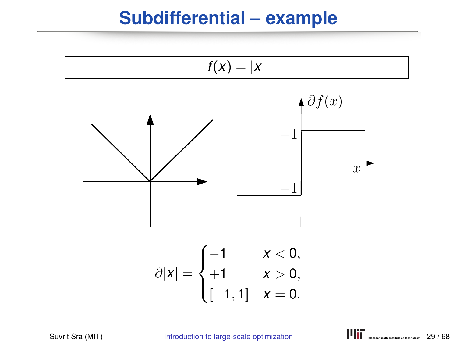#### **Subdifferential – example**

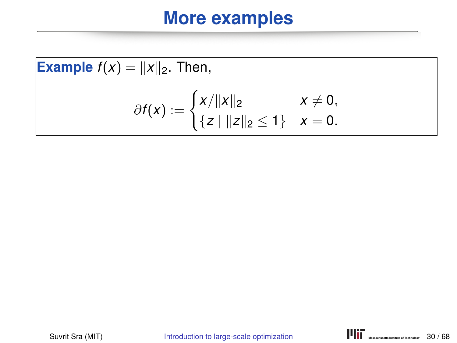Example 
$$
f(x) = ||x||_2
$$
. Then,  
\n
$$
\partial f(x) := \begin{cases} x/||x||_2 & x \neq 0, \\ \{z \mid ||z||_2 \leq 1\} & x = 0. \end{cases}
$$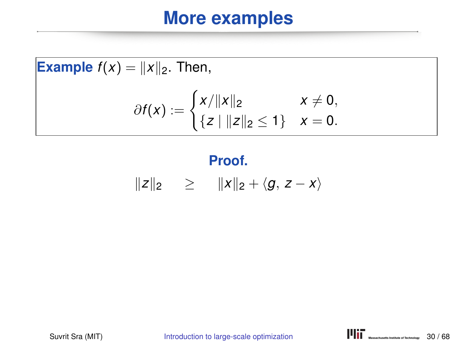**Example** 
$$
f(x) = ||x||_2
$$
. Then,  

$$
\partial f(x) := \begin{cases} x/||x||_2 & x \neq 0, \\ \{z \mid ||z||_2 \leq 1\} & x = 0. \end{cases}
$$

## **Proof.**

$$
||z||_2 \geq ||x||_2 + \langle g, z - x \rangle
$$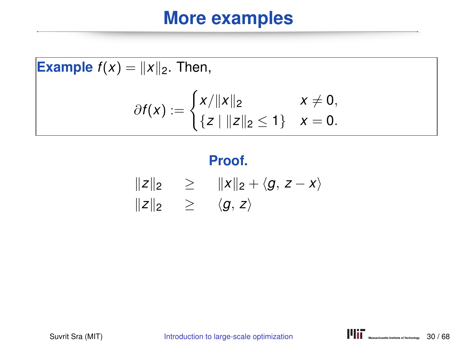**Example** 
$$
f(x) = ||x||_2
$$
. Then,  

$$
\partial f(x) := \begin{cases} x/||x||_2 & x \neq 0, \\ \{z \mid ||z||_2 \leq 1\} & x = 0. \end{cases}
$$

#### **Proof.**

$$
\begin{array}{rcl}\n\|z\|_2 & \geq & \|x\|_2 + \langle g, \, z - x \rangle \\
\|z\|_2 & \geq & \langle g, \, z \rangle\n\end{array}
$$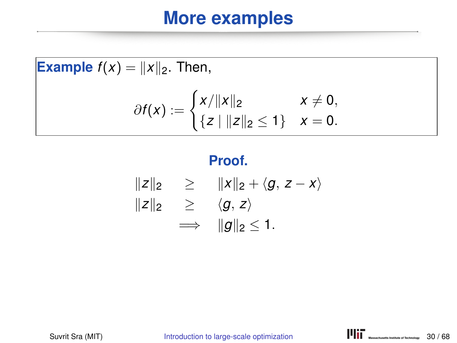**Example**  $f(x) = ||x||_2$ . Then,  $\partial f(x) := \begin{cases} x/||x||_2 & x \neq 0, \\ 0 & x \neq 0, \end{cases}$  $\{z \mid ||z||_2 \leq 1\}$   $x = 0$ .

#### **Proof.**

$$
||z||_2 \ge ||x||_2 + \langle g, z - x \rangle
$$
  
\n
$$
||z||_2 \ge \langle g, z \rangle
$$
  
\n
$$
\implies ||g||_2 \le 1.
$$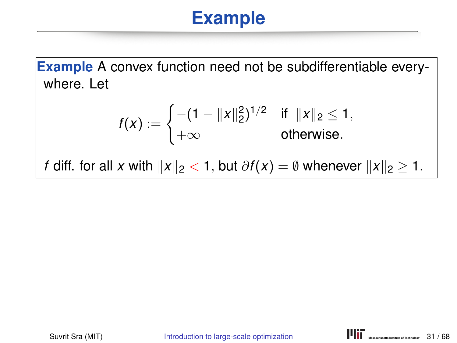**Example** A convex function need not be subdifferentiable everywhere. Let

$$
f(x) := \begin{cases} -(1 - ||x||_2^2)^{1/2} & \text{if } ||x||_2 \leq 1, \\ +\infty & \text{otherwise.} \end{cases}
$$

*f* diff. for all *x* with  $||x||_2 < 1$ , but  $\partial f(x) = \emptyset$  whenever  $||x||_2 \ge 1$ .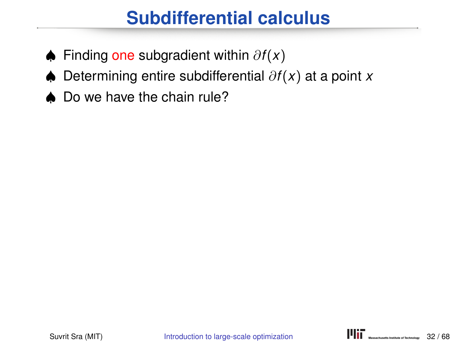### **Subdifferential calculus**

- ♠ Finding one subgradient within ∂*f*(*x*)
- ♠ Determining entire subdifferential ∂*f*(*x*) at a point *x*
- Do we have the chain rule?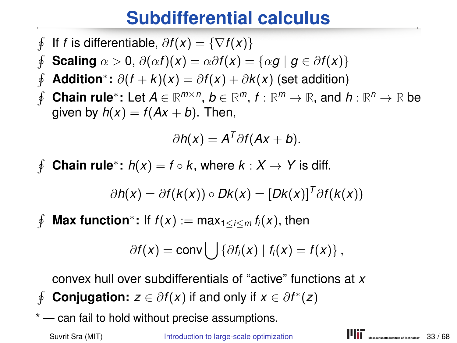#### **Subdifferential calculus**

- $\oint$ If *f* is differentiable,  $\partial f(x) = \{\nabla f(x)\}\$
- $\oint$ **Scaling**  $\alpha > 0$ ,  $\partial(\alpha f)(x) = \alpha \partial f(x) = {\alpha g | g \in \partial f(x)}$
- $\oint$ **Addition**<sup>∗</sup>:  $\partial(f + k)(x) = \partial f(x) + \partial k(x)$  (set addition)
- $\oint$ **Chain rule**<sup>∗</sup>: Let  $A \in \mathbb{R}^{m \times n}$ ,  $b \in \mathbb{R}^m$ ,  $f : \mathbb{R}^m \to \mathbb{R}$ , and  $h : \mathbb{R}^n \to \mathbb{R}$  be given by  $h(x) = f(Ax + b)$ . Then,

$$
\partial h(x) = A^T \partial f (Ax + b).
$$

 $\phi$ **Chain rule**<sup>\*</sup>:  $h(x) = f \circ k$ , where  $k: X \to Y$  is diff.

$$
\partial h(x) = \partial f(k(x)) \circ Dk(x) = [Dk(x)]^T \partial f(k(x))
$$

 $\phi$ **Max function**<sup>\*</sup>: If  $f(x) := max_{1 \le i \le m} f_i(x)$ , then

$$
\partial f(x) = \text{conv} \bigcup \{ \partial f_i(x) \mid f_i(x) = f(x) \},
$$

convex hull over subdifferentials of "active" functions at *x*

- $\phi$ **Conjugation:**  $z \in \partial f(x)$  if and only if  $x \in \partial f^*(z)$
- \* can fail to hold without precise assumptions.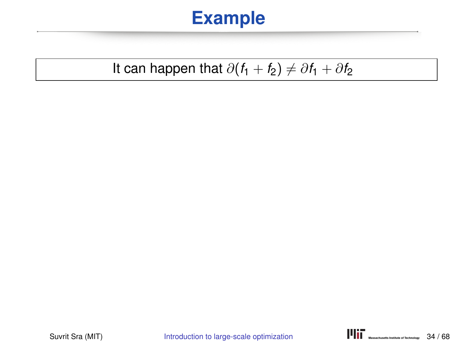#### It can happen that  $\partial(f_1 + f_2) \neq \partial f_1 + \partial f_2$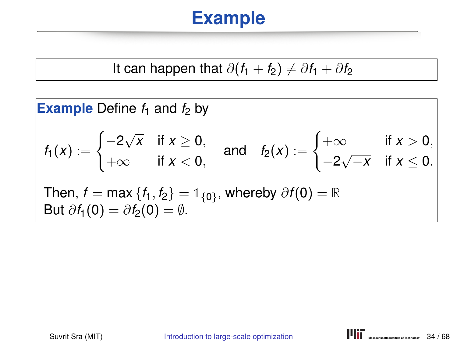It can happen that 
$$
\partial(f_1 + f_2) \neq \partial f_1 + \partial f_2
$$

**Example** Define 
$$
f_1
$$
 and  $f_2$  by  
\n
$$
f_1(x) := \begin{cases}\n-2\sqrt{x} & \text{if } x \ge 0, \\
+\infty & \text{if } x < 0,\n\end{cases} \text{ and } f_2(x) := \begin{cases}\n+\infty & \text{if } x > 0, \\
-2\sqrt{-x} & \text{if } x \le 0.\n\end{cases}
$$
\nThen,  $f = \max\{f_1, f_2\} = \mathbb{1}_{\{0\}}$ , whereby  $\partial f(0) = \mathbb{R}$   
\nBut  $\partial f_1(0) = \partial f_2(0) = \emptyset$ .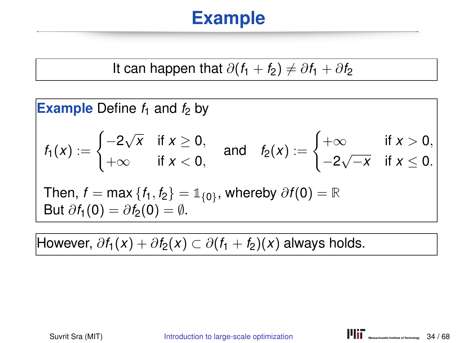It can happen that 
$$
\partial(f_1 + f_2) \neq \partial f_1 + \partial f_2
$$

**Example** Define 
$$
f_1
$$
 and  $f_2$  by  
\n
$$
f_1(x) := \begin{cases}\n-2\sqrt{x} & \text{if } x \ge 0, \\
+\infty & \text{if } x < 0,\n\end{cases} \text{ and } f_2(x) := \begin{cases}\n+\infty & \text{if } x > 0, \\
-2\sqrt{-x} & \text{if } x \le 0.\n\end{cases}
$$
\nThen,  $f = \max\{f_1, f_2\} = \mathbb{1}_{\{0\}}$ , whereby  $\partial f(0) = \mathbb{R}$   
\nBut  $\partial f_1(0) = \partial f_2(0) = \emptyset$ .

However,  $\partial f_1(x) + \partial f_2(x) \subset \partial (f_1 + f_2)(x)$  always holds.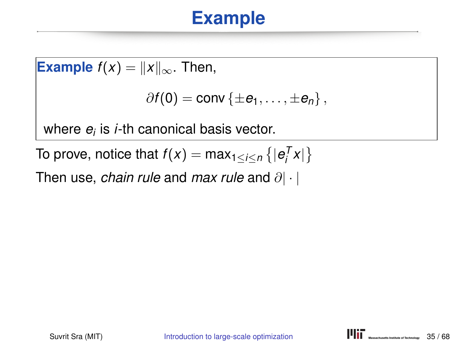**Example**  $f(x) = ||x||_{\infty}$ . Then,  $\partial f(\mathbf{0}) = \text{conv} \{ \pm e_1, \ldots, \pm e_n \},$ where *e<sup>i</sup>* is *i*-th canonical basis vector.

To prove, notice that  $f(x) = \max_{1 \leq i \leq n} \{|e_i^T x|\}$ 

Then use, *chain rule* and *max rule* and ∂| · |

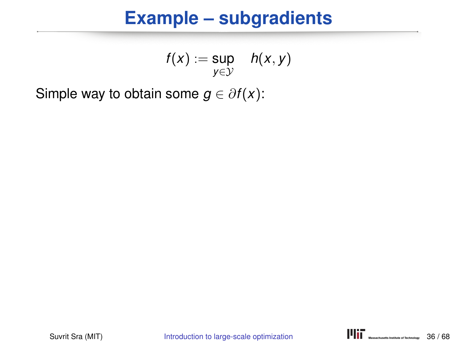#### **Example – subgradients**

$$
f(x) := \sup_{y \in \mathcal{Y}} \quad h(x, y)
$$

Simple way to obtain some  $g \in \partial f(x)$ :

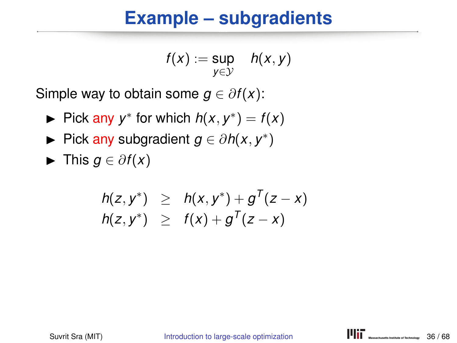#### **Example – subgradients**

$$
f(x) := \sup_{y \in \mathcal{Y}} h(x, y)
$$

Simple way to obtain some  $g \in \partial f(x)$ :

- ► Pick any  $y^*$  for which  $h(x, y^*) = f(x)$
- ► Pick any subgradient  $g \in \partial h(x, y^*)$
- $\blacktriangleright$  This *g* ∈  $\partial f(x)$

$$
h(z, y^*) \geq h(x, y^*) + g^{T}(z - x) h(z, y^*) \geq f(x) + g^{T}(z - x)
$$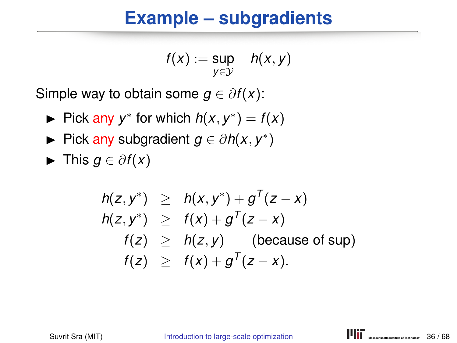#### **Example – subgradients**

$$
f(x) := \sup_{y \in \mathcal{Y}} h(x, y)
$$

Simple way to obtain some  $g \in \partial f(x)$ :

- ► Pick any  $y^*$  for which  $h(x, y^*) = f(x)$
- ► Pick any subgradient  $g \in \partial h(x, y^*)$
- $\blacktriangleright$  This *g* ∈  $\partial f(x)$

$$
h(z, y^*) \geq h(x, y^*) + g^T(z - x)
$$
  
\n
$$
h(z, y^*) \geq f(x) + g^T(z - x)
$$
  
\n
$$
f(z) \geq h(z, y) \quad \text{(because of sup)}
$$
  
\n
$$
f(z) \geq f(x) + g^T(z - x).
$$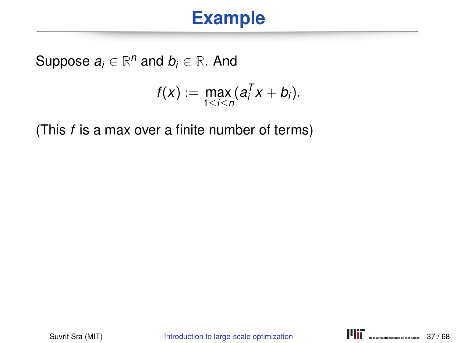Suppose  $a_i \in \mathbb{R}^n$  and  $b_i \in \mathbb{R}$ . And

$$
f(x):=\max_{1\leq i\leq n}(a_i^Tx+b_i).
$$

(This *f* is a max over a finite number of terms)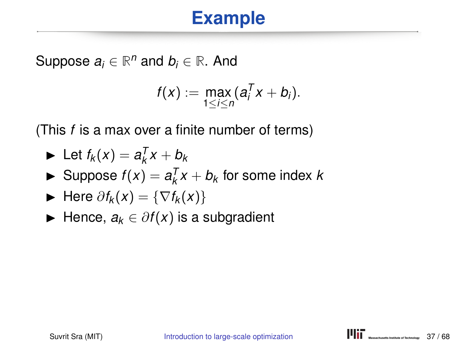Suppose  $a_i \in \mathbb{R}^n$  and  $b_i \in \mathbb{R}$ . And

$$
f(x):=\max_{1\leq i\leq n}(a_i^Tx+b_i).
$$

(This *f* is a max over a finite number of terms)

$$
\blacktriangleright \ \mathsf{Let}\ f_k(x) = a_k^T x + b_k
$$

 $\blacktriangleright$  Suppose  $f(x) = a_k^T x + b_k$  for some index *k* 

$$
\blacktriangleright \text{ Here } \partial f_k(x) = \{ \nabla f_k(x) \}
$$

 $\blacktriangleright$  Hence,  $a_k \in \partial f(x)$  is a subgradient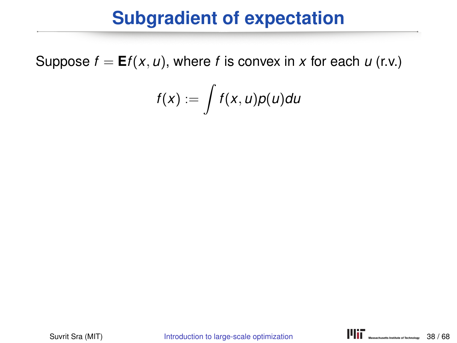#### **Subgradient of expectation**

Suppose  $f = Ef(x, u)$ , where *f* is convex in *x* for each *u* (r.v.)

$$
f(x):=\int f(x,u)p(u)du
$$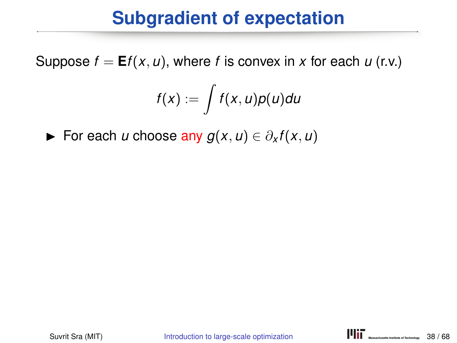#### **Subgradient of expectation**

Suppose  $f = Ef(x, u)$ , where *f* is convex in *x* for each *u* (r.v.)

$$
f(x):=\int f(x,u)p(u)du
$$

For each *u* choose any  $g(x, u) \in \partial_x f(x, u)$ 

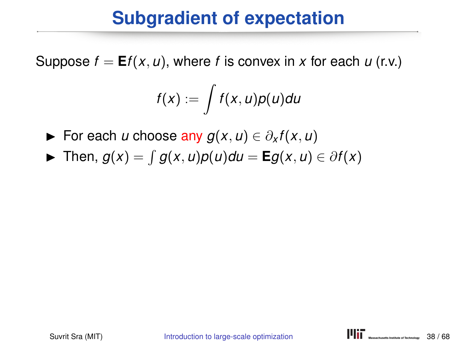#### **Subgradient of expectation**

Suppose  $f = Ef(x, u)$ , where f is convex in x for each  $u$  (r.v.)

$$
f(x):=\int f(x,u)p(u)du
$$

- For each *u* choose any  $g(x, u) \in \partial_x f(x, u)$
- $\blacktriangleright$  Then,  $g(x) = \int g(x, u)p(u)du = \mathbf{E}g(x, u) \in \partial f(x)$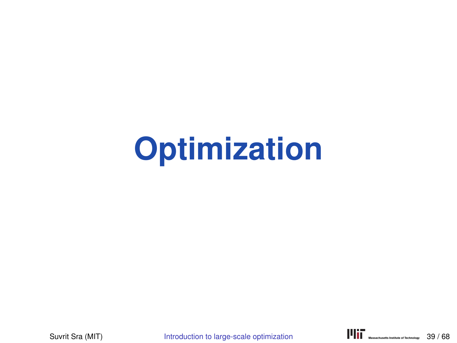# **Optimization**

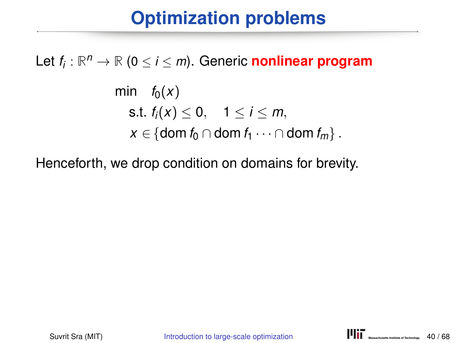#### **Optimization problems**

## Let *f<sup>i</sup>* : **R** *<sup>n</sup>* <sup>→</sup> **<sup>R</sup>** (<sup>0</sup> <sup>≤</sup> *<sup>i</sup>* <sup>≤</sup> *<sup>m</sup>*). Generic **nonlinear program**

min  $f_0(x)$ s.t.  $f_i(x) \le 0, \quad 1 \le i \le m$ , *x* ∈ {dom *f*<sup>0</sup> ∩ dom *f*<sup>1</sup> · · · ∩ dom *f*<sup>*m*</sup>}.

Henceforth, we drop condition on domains for brevity.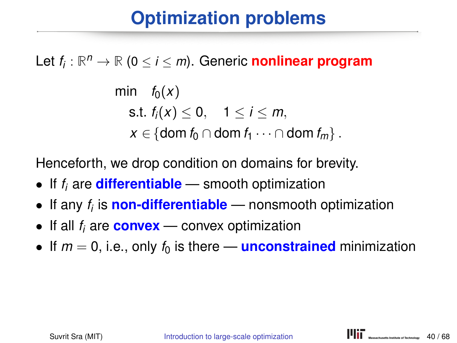#### **Optimization problems**

## Let *f<sup>i</sup>* : **R** *<sup>n</sup>* <sup>→</sup> **<sup>R</sup>** (<sup>0</sup> <sup>≤</sup> *<sup>i</sup>* <sup>≤</sup> *<sup>m</sup>*). Generic **nonlinear program**

min  $f_0(x)$ s.t.  $f_i(x) \le 0, \quad 1 \le i \le m$ , *x* ∈ {dom *f*<sup>0</sup> ∩ dom *f*<sup>1</sup> · · · ∩ dom *f*<sup>m</sup>}.

Henceforth, we drop condition on domains for brevity.

- If *f<sup>i</sup>* are **differentiable** smooth optimization
- If any *f<sup>i</sup>* is **non-differentiable** nonsmooth optimization
- If all *f<sup>i</sup>* are **convex** convex optimization
- If  $m = 0$ , i.e., only  $f_0$  is there **unconstrained** minimization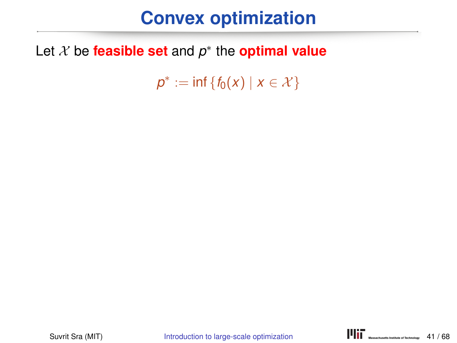#### **Convex optimization**

#### Let X be **feasible set** and *p* ∗ the **optimal value**

 $p^* := \inf \{ f_0(x) \mid x \in \mathcal{X} \}$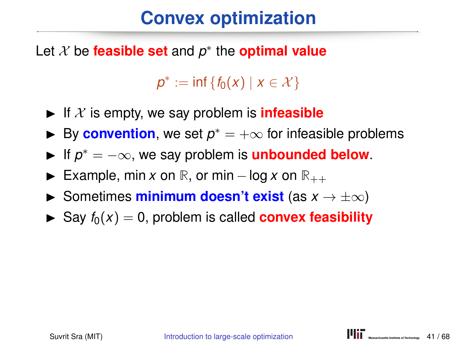#### **Convex optimization**

Let X be **feasible set** and *p* ∗ the **optimal value**

 $p^* := \inf \{ f_0(x) \mid x \in \mathcal{X} \}$ 

- If  $X$  is empty, we say problem is **infeasible**
- ► By **convention**, we set  $p^* = +\infty$  for infeasible problems
- ► If  $p^* = -\infty$ , we say problem is **unbounded below**.
- **►** Example, min *x* on **R**, or min log *x* on  $\mathbb{R}_{++}$
- **►** Sometimes **minimum doesn't exist** (as  $x \to \pm \infty$ )
- $\triangleright$  Say  $f_0(x) = 0$ , problem is called **convex feasibility**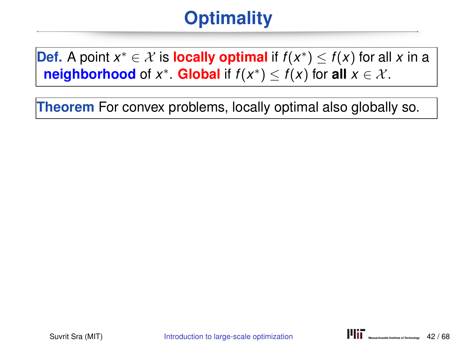#### **Optimality**

**Def.** A point  $x^* \in \mathcal{X}$  is **locally optimal** if  $f(x^*) \leq f(x)$  for all *x* in a **neighborhood** of *x*<sup>∗</sup>. **Global** if  $f(x^*) \le f(x)$  for **all**  $x \in \mathcal{X}$ .

**Theorem** For convex problems, locally optimal also globally so.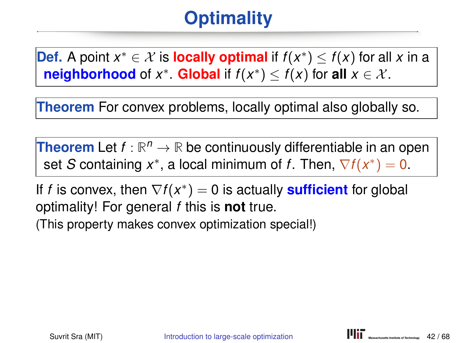## **Optimality**

**Def.** A point  $x^* \in \mathcal{X}$  is **locally optimal** if  $f(x^*) \leq f(x)$  for all *x* in a **neighborhood** of *x*<sup>∗</sup>. **Global** if  $f(x^*) \le f(x)$  for **all**  $x \in \mathcal{X}$ .

**Theorem** For convex problems, locally optimal also globally so.

**Theorem** Let  $f : \mathbb{R}^n \to \mathbb{R}$  be continuously differentiable in an open set *S* containing  $x^*$ , a local minimum of *f*. Then,  $\nabla f(x^*) = 0$ .

If *f* is convex, then  $\nabla f(x^*) = 0$  is actually **sufficient** for global optimality! For general *f* this is **not** true. (This property makes convex optimization special!)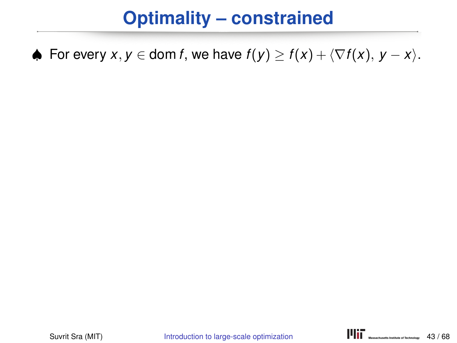#### **Optimality – constrained**

♦ For every  $x, y \in \text{dom } f$ , we have  $f(y) \ge f(x) + \langle \nabla f(x), y - x \rangle$ .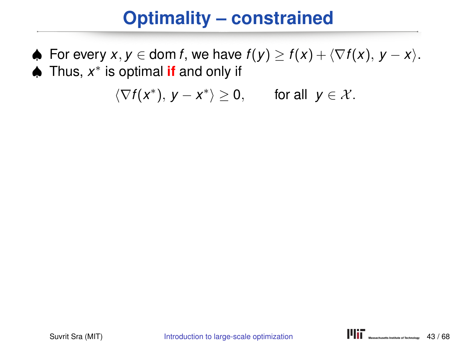#### **Optimality – constrained**

♦ For every  $x, y \in \text{dom } f$ , we have  $f(y) \ge f(x) + \langle \nabla f(x), y - x \rangle$ . ♠ Thus, *x* ∗ is optimal **if** and only if

$$
\langle \nabla f(x^*), y - x^* \rangle \ge 0, \quad \text{for all } y \in \mathcal{X}.
$$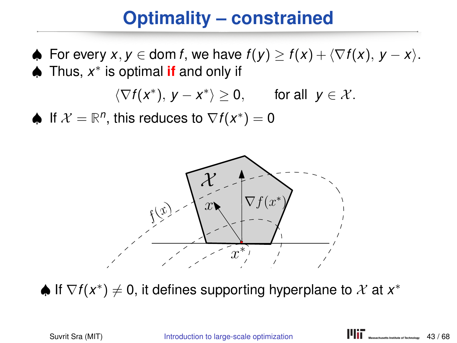#### **Optimality – constrained**

 $\blacklozenge$  For every  $x, y \in \text{dom } f$ , we have  $f(y) \geq f(x) + \langle \nabla f(x), y - x \rangle$ . ♠ Thus, *x* ∗ is optimal **if** and only if

$$
\langle \nabla f(x^*), y - x^* \rangle \ge 0, \quad \text{for all } y \in \mathcal{X}.
$$

♦ If  $\mathcal{X} = \mathbb{R}^n$ , this reduces to  $\nabla f(x^*) = 0$ 



 $\spadesuit$  If  $\nabla f(x^*)\neq 0$ , it defines supporting hyperplane to  $\mathcal X$  at  $x^*$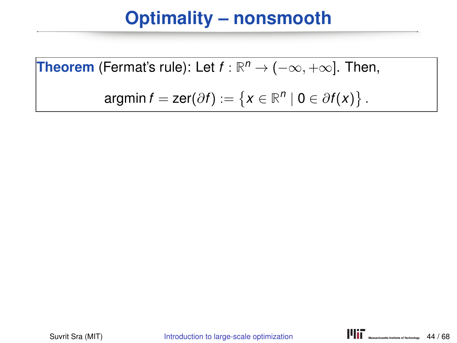**Theorem** (Fermat's rule): Let 
$$
f : \mathbb{R}^n \to (-\infty, +\infty]
$$
. Then,

$$
\text{argmin}\,f=\text{zer}(\partial f):=\left\{x\in\mathbb{R}^n\mid 0\in\partial f(x)\right\}.
$$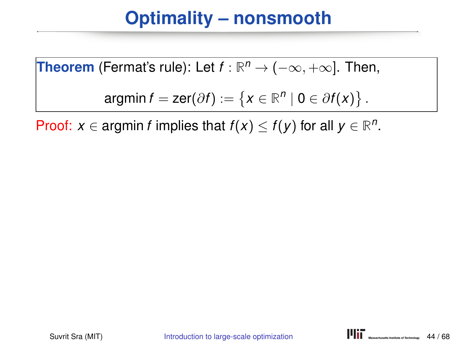**Theorem** (Fermat's rule): Let 
$$
f : \mathbb{R}^n \to (-\infty, +\infty]
$$
. Then,

$$
\text{argmin}\,f=\text{zer}(\partial f):=\left\{x\in\mathbb{R}^n\mid 0\in\partial f(x)\right\}.
$$

Proof:  $x \in \text{argmin } f$  implies that  $f(x) \leq f(y)$  for all  $y \in \mathbb{R}^n$ .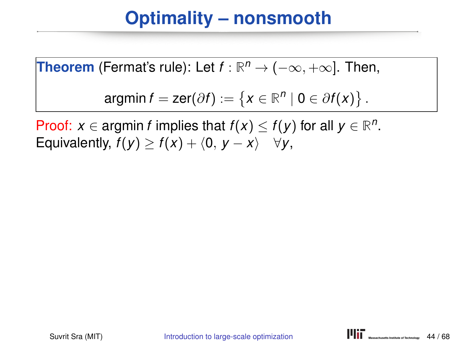**Theorem** (Fermat's rule): Let 
$$
f : \mathbb{R}^n \to (-\infty, +\infty]
$$
. Then,

$$
\text{argmin}\,f=\text{zer}(\partial f):=\left\{x\in\mathbb{R}^n\mid 0\in\partial f(x)\right\}.
$$

Proof: *x* ∈ argmin *f* implies that  $f(x) \le f(y)$  for all  $y \in \mathbb{R}^n$ . Equivalently,  $f(y) \ge f(x) + \langle 0, y - x \rangle \quad \forall y$ ,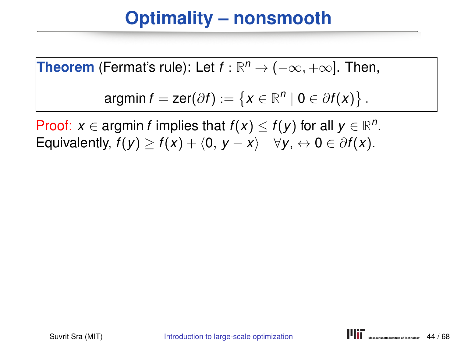**Theorem** (Fermat's rule): Let 
$$
f : \mathbb{R}^n \to (-\infty, +\infty]
$$
. Then,

$$
\text{argmin}\,f=\text{zer}(\partial f):=\left\{x\in\mathbb{R}^n\mid 0\in\partial f(x)\right\}.
$$

Proof: *x* ∈ argmin *f* implies that  $f(x) \le f(y)$  for all  $y \in \mathbb{R}^n$ . Equivalently,  $f(y) \ge f(x) + \langle 0, y - x \rangle \quad \forall y, \leftrightarrow 0 \in \partial f(x)$ .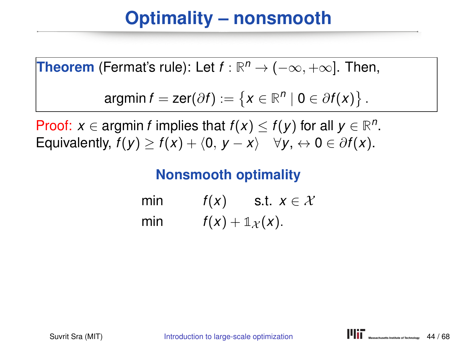**Theorem** (Fermat's rule): Let 
$$
f : \mathbb{R}^n \to (-\infty, +\infty]
$$
. Then,

$$
\text{argmin}\,f=\text{zer}(\partial f):=\left\{x\in\mathbb{R}^n\mid 0\in\partial f(x)\right\}.
$$

Proof: *x* ∈ argmin *f* implies that  $f(x) \le f(y)$  for all  $y \in \mathbb{R}^n$ . Equivalently,  $f(y) > f(x) + \langle 0, y - x \rangle$   $\forall y, \leftrightarrow 0 \in \partial f(x)$ .

#### **Nonsmooth optimality**

min  $f(x)$  s.t.  $x \in \mathcal{X}$ min  $f(x) + \mathbb{1}_{\mathcal{X}}(x)$ .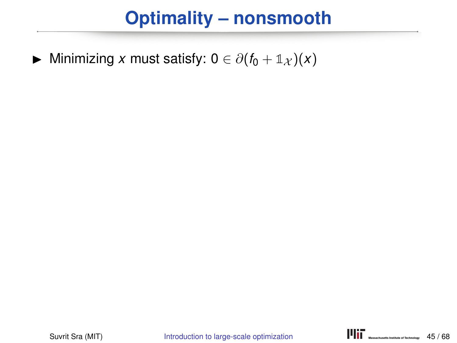$\triangleright$  Minimizing *x* must satisfy: 0 ∈  $\partial(f_0 + \mathbb{1}_{\mathcal{X}})(x)$ 

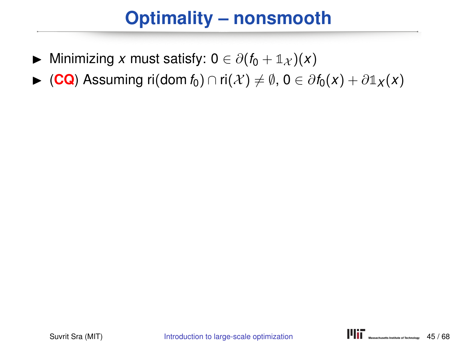- $\triangleright$  Minimizing *x* must satisfy: 0 ∈  $\partial (f_0 + \mathbb{1}_{\mathcal{X}})(x)$
- $\triangleright$  (CQ) Assuming ri(dom *f*<sub>0</sub>) ∩ ri(*X*)  $\neq$   $\emptyset$ , 0 ∈  $\partial$  *f*<sub>0</sub>(*x*) +  $\partial$  1*x*(*x*)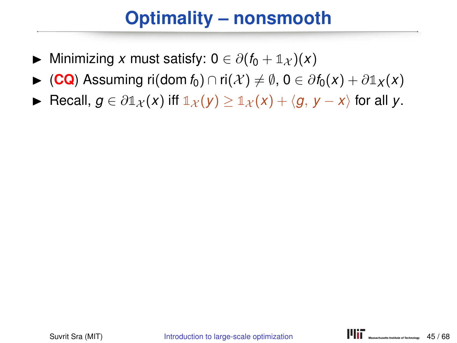- $\triangleright$  Minimizing *x* must satisfy: 0 ∈  $\partial (f_0 + \mathbb{1}_X)(x)$
- $\triangleright$  (CQ) Assuming ri(dom *f*<sub>0</sub>) ∩ ri(*X*)  $\neq$   $\emptyset$ , 0 ∈  $\partial$  *f*<sub>0</sub>(*x*) +  $\partial$  1*x*(*x*)
- ► Recall,  $g \in \partial \mathbb{1}_{\mathcal{X}}(x)$  if  $\mathbb{1}_{\mathcal{X}}(y) \geq \mathbb{1}_{\mathcal{X}}(x) + \langle g, y x \rangle$  for all y.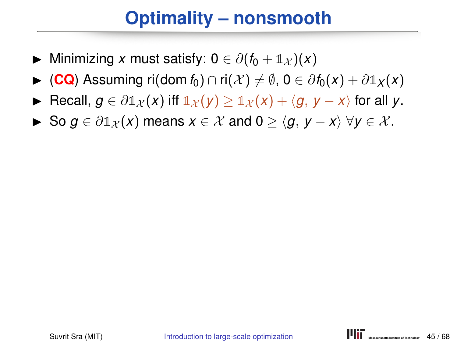- $\triangleright$  Minimizing *x* must satisfy:  $0 \in \partial (f_0 + \mathbb{1}_{\mathcal{X}})(x)$
- $\triangleright$  (**CQ**) Assuming ri(dom *f*<sub>0</sub>) ∩ ri(*X*)  $\neq$   $\emptyset$ , 0 ∈  $\partial$  *f*<sub>0</sub>(*x*) +  $\partial$  1*x*(*x*)
- **►** Recall,  $g \in \partial \mathbb{1}_X(x)$  iff  $\mathbb{1}_X(y) > \mathbb{1}_X(x) + \langle g, y x \rangle$  for all y.
- $\triangleright$  So *g* ∈  $\partial \mathbb{1}_X(x)$  means  $x \in \mathcal{X}$  and  $0 > \langle q, y x \rangle \ \forall y \in \mathcal{X}$ .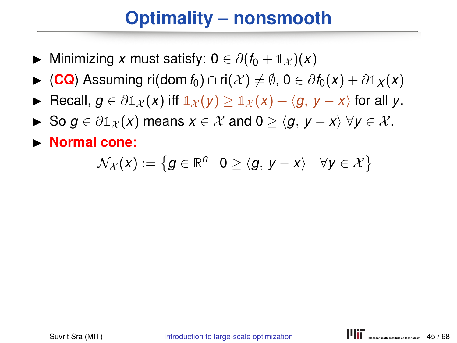- $\triangleright$  Minimizing *x* must satisfy:  $0 \in \partial (f_0 + \mathbb{1}_{\mathcal{X}})(x)$
- $\triangleright$  (**CQ**) Assuming ri(dom *f*<sub>0</sub>) ∩ ri(*X*)  $\neq$   $\emptyset$ , 0 ∈  $\partial$  *f*<sub>0</sub>(*x*) +  $\partial$  1*x*(*x*)
- **►** Recall,  $g \in \partial \mathbb{1}_X(x)$  iff  $\mathbb{1}_X(y) > \mathbb{1}_X(x) + \langle g, y x \rangle$  for all y.
- $\triangleright$  So *g* ∈  $\partial \mathbb{1}_X(x)$  means  $x \in \mathcal{X}$  and  $0 > \langle q, y x \rangle \ \forall y \in \mathcal{X}$ .
- **Normal cone:**

$$
\mathcal{N}_{\mathcal{X}}(x) := \left\{ g \in \mathbb{R}^n \mid 0 \geq \langle g, \, y - x \rangle \quad \forall y \in \mathcal{X} \right\}
$$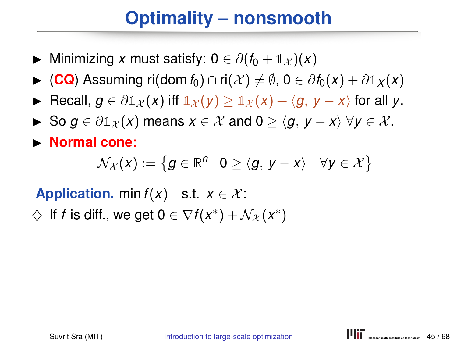- $\triangleright$  Minimizing *x* must satisfy: 0 ∈  $\partial(f_0 + \mathbb{1}_X)(x)$
- $\triangleright$  (CQ) Assuming ri(dom *f*<sub>0</sub>) ∩ ri(*X*)  $\neq$   $\emptyset$ , 0 ∈  $\partial f_0(x) + \partial \mathbb{1}_X(x)$
- **►** Recall,  $q \in \partial \mathbb{1}_X(x)$  iff  $\mathbb{1}_X(y) > \mathbb{1}_X(x) + \langle q, y x \rangle$  for all y.
- $\triangleright$  So *g* ∈  $\partial \mathbb{1}_X(x)$  means  $x \in \mathcal{X}$  and  $0 > \langle g, y x \rangle$   $\forall y \in \mathcal{X}$ .
- **Normal cone:**

$$
\mathcal{N}_{\mathcal{X}}(x) := \left\{ g \in \mathbb{R}^n \mid 0 \geq \langle g, \, y - x \rangle \quad \forall y \in \mathcal{X} \right\}
$$

**Application.** min  $f(x)$  s.t.  $x \in \mathcal{X}$ :

 $\diamondsuit$  If *f* is diff., we get  $0 \in \nabla f(x^*) + \mathcal{N}_{\mathcal{X}}(x^*)$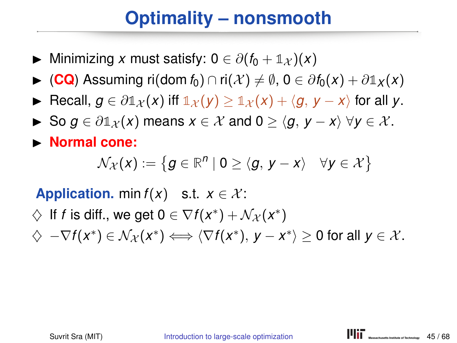- $\triangleright$  Minimizing *x* must satisfy: 0 ∈  $\partial(f_0 + \mathbb{1}_X)(x)$
- $\triangleright$  (CQ) Assuming ri(dom *f*<sub>0</sub>) ∩ ri(*X*)  $\neq$   $\emptyset$ , 0 ∈  $\partial f_0(x) + \partial \mathbb{1}_X(x)$
- **►** Recall,  $q \in \partial \mathbb{1}_X(x)$  iff  $\mathbb{1}_X(y) > \mathbb{1}_X(x) + \langle q, y x \rangle$  for all y.
- $\triangleright$  So *g* ∈  $\partial \mathbb{1}_X(x)$  means  $x \in \mathcal{X}$  and  $0 > \langle g, y x \rangle$   $\forall y \in \mathcal{X}$ .
- **Normal cone:**

$$
\mathcal{N}_{\mathcal{X}}(x) := \left\{ g \in \mathbb{R}^n \mid 0 \geq \langle g, \, y - x \rangle \quad \forall y \in \mathcal{X} \right\}
$$

**Application.** min  $f(x)$  s.t.  $x \in \mathcal{X}$ :

- $\diamondsuit$  If *f* is diff., we get  $0 \in \nabla f(x^*) + \mathcal{N}_{\mathcal{X}}(x^*)$
- $\diamondsuit \nabla f(x^*) \in \mathcal{N}_{\mathcal{X}}(x^*) \Longleftrightarrow \langle \nabla f(x^*), y x^* \rangle \geq 0$  for all  $y \in \mathcal{X}$ .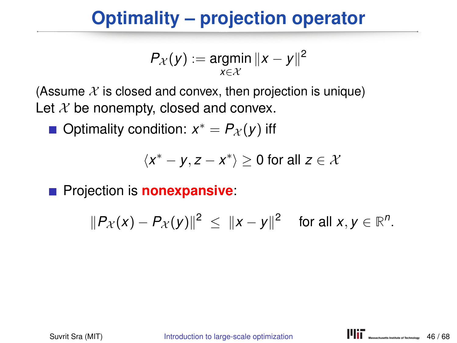#### **Optimality – projection operator**

$$
P_{\mathcal{X}}(y) := \underset{x \in \mathcal{X}}{\text{argmin}} \|x - y\|^2
$$

(Assume  $\mathcal X$  is closed and convex, then projection is unique) Let  $X$  be nonempty, closed and convex.

Optimality condition:  $x^* = P_{\mathcal{X}}(y)$  iff

$$
\langle x^* - y, z - x^* \rangle \ge 0 \text{ for all } z \in \mathcal{X}
$$

**Projection is nonexpansive:** 

$$
||P_{\mathcal{X}}(x)-P_{\mathcal{X}}(y)||^2 \leq ||x-y||^2 \quad \text{for all } x, y \in \mathbb{R}^n.
$$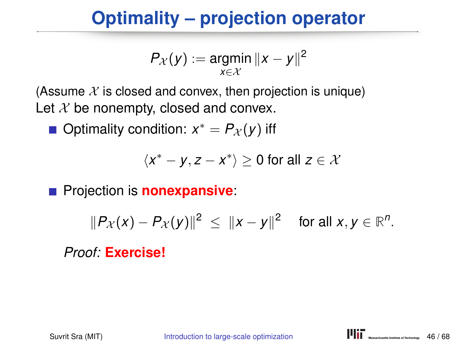#### **Optimality – projection operator**

$$
P_{\mathcal{X}}(y) := \underset{x \in \mathcal{X}}{\text{argmin}} \|x - y\|^2
$$

(Assume  $\mathcal X$  is closed and convex, then projection is unique) Let  $X$  be nonempty, closed and convex.

Optimality condition:  $x^* = P_{\mathcal{X}}(y)$  iff

$$
\langle x^* - y, z - x^* \rangle \ge 0 \text{ for all } z \in \mathcal{X}
$$

**Projection is nonexpansive:** 

$$
||P_{\mathcal{X}}(x)-P_{\mathcal{X}}(y)||^2 \leq ||x-y||^2 \quad \text{ for all } x,y \in \mathbb{R}^n.
$$

*Proof:* **Exercise!**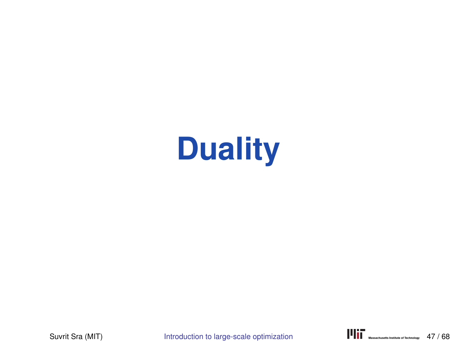# **Duality**

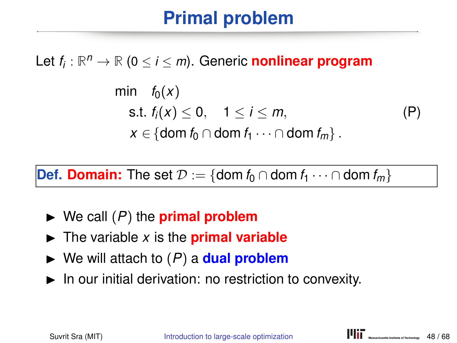#### **Primal problem**

Let *f<sup>i</sup>* : **R** *<sup>n</sup>* <sup>→</sup> **<sup>R</sup>** (<sup>0</sup> <sup>≤</sup> *<sup>i</sup>* <sup>≤</sup> *<sup>m</sup>*). Generic **nonlinear program**

$$
\begin{array}{ll}\n\text{min} & f_0(x) \\
\text{s.t. } f_i(x) \leq 0, \quad 1 \leq i \leq m, \\
& x \in \{\text{dom } f_0 \cap \text{dom } f_1 \cdots \cap \text{dom } f_m\} \,.\n\end{array} \tag{P}
$$

**Def. Domain:** The set  $\mathcal{D} := \{ \text{dom } f_0 \cap \text{dom } f_1 \cdots \cap \text{dom } f_m \}$ 

- $\triangleright$  We call  $(P)$  the **primal problem**
- $\triangleright$  The variable *x* is the **primal variable**
- $\triangleright$  We will attach to  $(P)$  a **dual problem**
- $\blacktriangleright$  In our initial derivation: no restriction to convexity.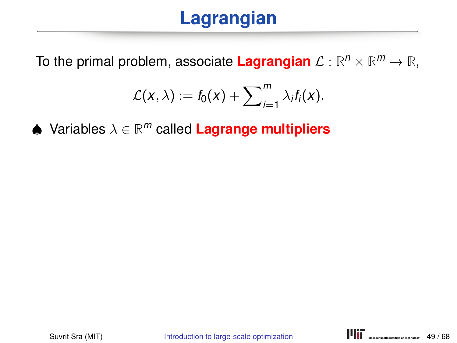## **Lagrangian**

To the primal problem, associate  $\textsf{Lagrangian }\mathcal{L}:\mathbb{R}^n\times\mathbb{R}^m\to\mathbb{R},$ 

$$
\mathcal{L}(x,\lambda) := f_0(x) + \sum_{i=1}^m \lambda_i f_i(x).
$$

♠ Variables λ ∈ **R** *<sup>m</sup>* called **Lagrange multipliers**

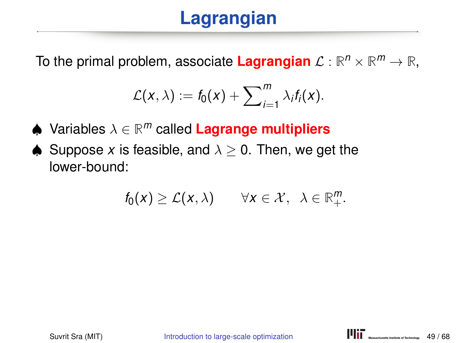## **Lagrangian**

To the primal problem, associate  $\textsf{Lagrangian }\mathcal{L}:\mathbb{R}^n\times\mathbb{R}^m\to\mathbb{R},$ 

$$
\mathcal{L}(x,\lambda) := f_0(x) + \sum_{i=1}^m \lambda_i f_i(x).
$$

- ♠ Variables λ ∈ **R** *<sup>m</sup>* called **Lagrange multipliers**
- $\triangle$  Suppose x is feasible, and  $\lambda > 0$ . Then, we get the lower-bound:

$$
f_0(x) \geq \mathcal{L}(x,\lambda)
$$
  $\forall x \in \mathcal{X}, \lambda \in \mathbb{R}_+^m.$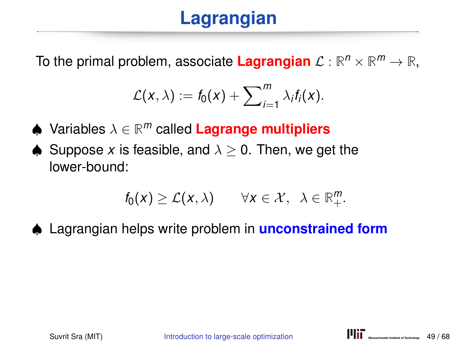## **Lagrangian**

To the primal problem, associate  $\textsf{Lagrangian }\mathcal{L}:\mathbb{R}^n\times\mathbb{R}^m\to\mathbb{R},$ 

$$
\mathcal{L}(x,\lambda) := f_0(x) + \sum_{i=1}^m \lambda_i f_i(x).
$$

- ♠ Variables λ ∈ **R** *<sup>m</sup>* called **Lagrange multipliers**
- $\triangle$  Suppose x is feasible, and  $\lambda > 0$ . Then, we get the lower-bound:

$$
f_0(x) \geq \mathcal{L}(x,\lambda)
$$
  $\forall x \in \mathcal{X}, \lambda \in \mathbb{R}_+^m.$ 

♠ Lagrangian helps write problem in **unconstrained form**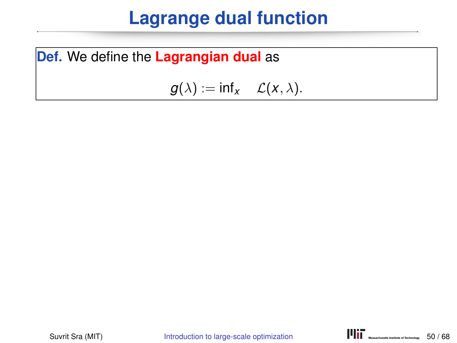#### **Lagrange dual function**

**Def.** We define the **Lagrangian dual** as

 $g(\lambda) := \inf_{x} \mathcal{L}(x, \lambda).$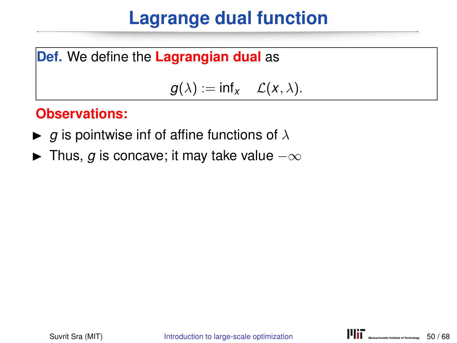#### **Lagrange dual function**

**Def.** We define the **Lagrangian dual** as

 $g(\lambda) := \inf_{x}$   $\mathcal{L}(x, \lambda)$ .

#### **Observations:**

- $\blacktriangleright$  *g* is pointwise inf of affine functions of  $\lambda$
- **IF** Thus, *g* is concave; it may take value  $-\infty$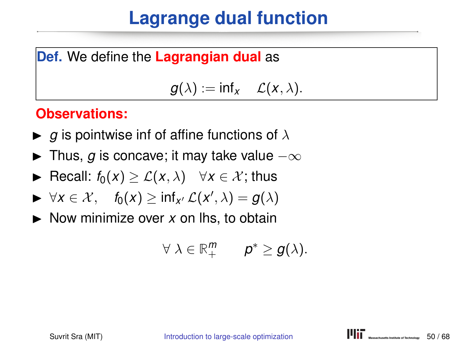#### **Lagrange dual function**

#### **Def.** We define the **Lagrangian dual** as

 $g(\lambda) := \inf_{x} \mathcal{L}(x, \lambda).$ 

#### **Observations:**

- $\blacktriangleright$  *g* is pointwise inf of affine functions of  $\lambda$
- $\blacktriangleright$  Thus, *g* is concave; it may take value  $-\infty$
- **►** Recall:  $f_0(x) \geq \mathcal{L}(x, \lambda)$   $\forall x \in \mathcal{X}$ ; thus
- $\blacktriangleright$  ∀*x* ∈ *X*,  $f_0(x) \ge \inf_{x'} \mathcal{L}(x', \lambda) = g(\lambda)$
- $\triangleright$  Now minimize over x on lhs, to obtain

$$
\forall \lambda \in \mathbb{R}_+^m \qquad p^* \geq g(\lambda).
$$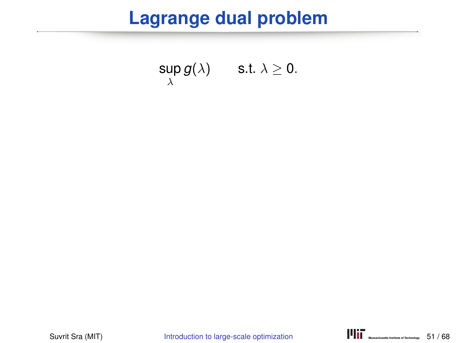#### **Lagrange dual problem**

$$
\sup_{\lambda} g(\lambda) \qquad \text{s.t. } \lambda \geq 0.
$$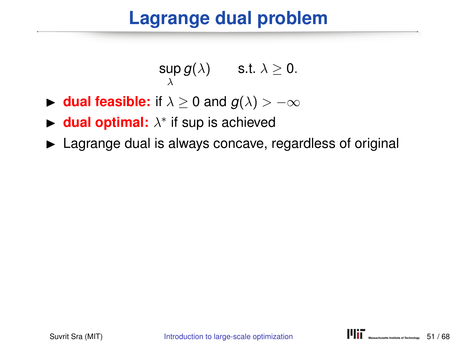#### **Lagrange dual problem**

$$
\sup_{\lambda} g(\lambda) \qquad \text{s.t. } \lambda \geq 0.
$$

- **► dual feasible:** if  $\lambda \geq 0$  and  $g(\lambda) > -\infty$
- ► dual optimal:  $\lambda^*$  if sup is achieved
- $\blacktriangleright$  Lagrange dual is always concave, regardless of original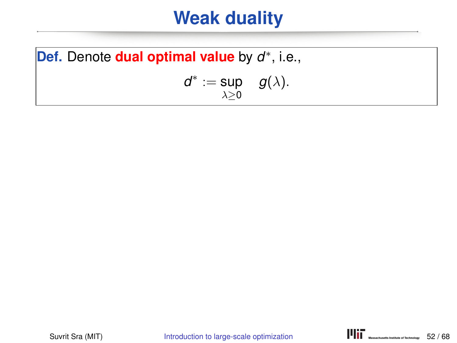#### **Weak duality**

Def. Denote **dual optimal value** by *d*<sup>∗</sup>, i.e., *d*<sup>∗</sup> := sup  $\lambda \geq 0$  $g(\lambda)$ .

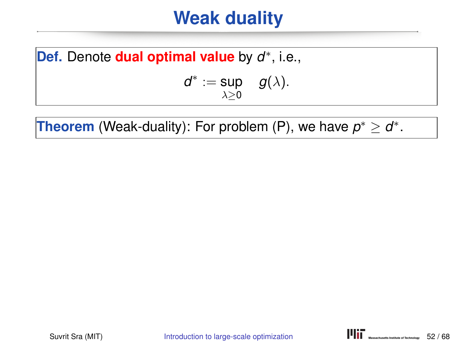#### **Weak duality**

Def. Denote **dual optimal value** by *d*<sup>∗</sup>, i.e.,  $d^* := \sup \quad g(\lambda).$ 

**Theorem** (Weak-duality): For problem (P), we have  $p^* \geq d^*$ .

 $\lambda > 0$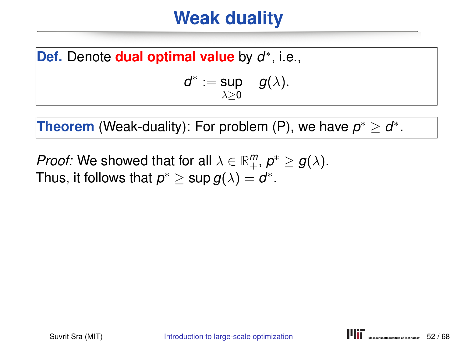#### **Weak duality**

Def. Denote **dual optimal value** by *d*<sup>∗</sup>, i.e.,

$$
d^* := \sup_{\lambda \geq 0} g(\lambda).
$$

**Theorem** (Weak-duality): For problem (P), we have  $p^* \geq d^*$ .

*Proof:* We showed that for all  $\lambda \in \mathbb{R}^m_+$ ,  $p^* \ge g(\lambda)$ . Thus, it follows that  $p^* \geq \sup g(\lambda) = d^*.$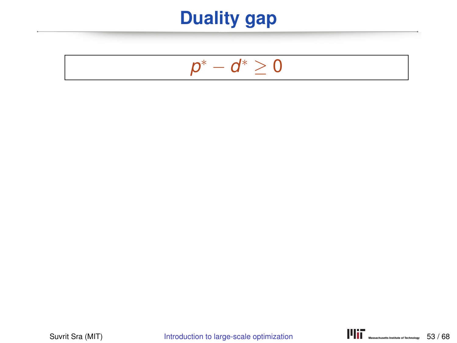## **Duality gap**

## *p*<sup>∗</sup> − *d*<sup>∗</sup> ≥ 0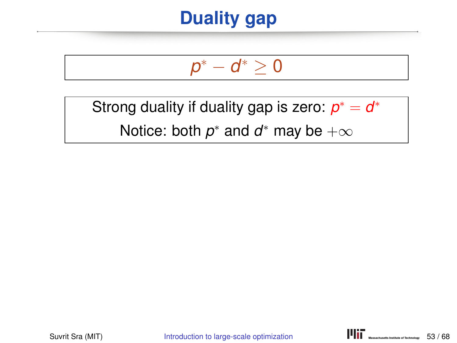## **Duality gap**

# *p*<sup>∗</sup> − *d*<sup>∗</sup> ≥ 0

Strong duality if duality gap is zero: *p*\* = *d*\*

Notice: both  $p^*$  and  $d^*$  may be  $+\infty$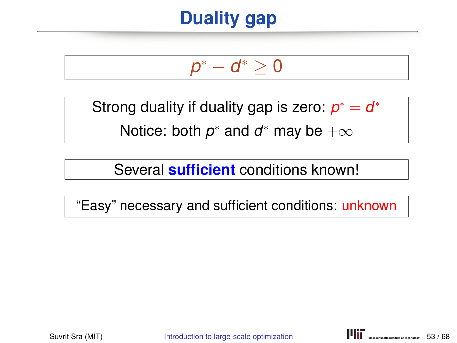## **Duality gap**

# *p*<sup>∗</sup> − *d*<sup>∗</sup> ≥ 0

Strong duality if duality gap is zero: *p*\* = *d*\*

Notice: both  $p^*$  and  $d^*$  may be  $+\infty$ 

Several **sufficient** conditions known!

"Easy" necessary and sufficient conditions: unknown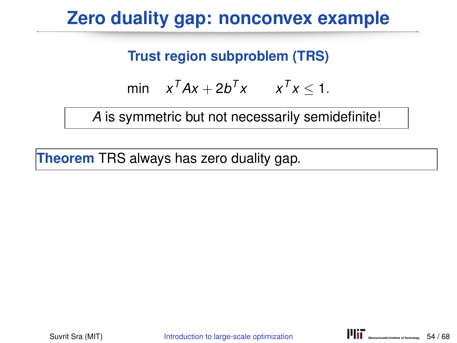## **Zero duality gap: nonconvex example**

#### **Trust region subproblem (TRS)**

$$
\min \quad x^T A x + 2b^T x \qquad x^T x \leq 1.
$$

*A* is symmetric but not necessarily semidefinite!

**Theorem** TRS always has zero duality gap.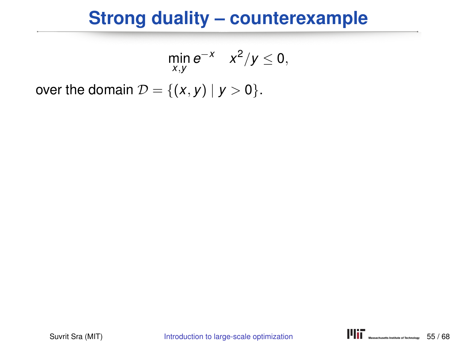$$
\min_{x,y} e^{-x} x^2/y \le 0,
$$
  
over the domain  $\mathcal{D} = \{(x,y) | y > 0\}.$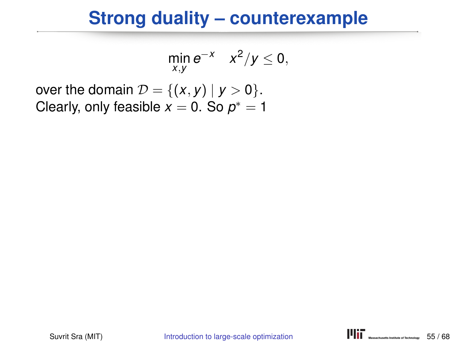$$
\min_{x,y} e^{-x} \quad x^2/y \leq 0,
$$

over the domain  $\mathcal{D} = \{(x, y) | y > 0\}.$ Clearly, only feasible  $x=0.$  So  $p^*=1$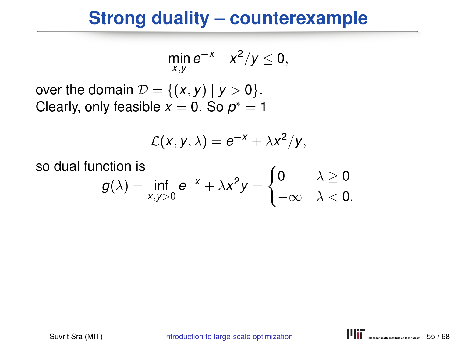$$
\min_{x,y} e^{-x} \quad x^2/y \leq 0,
$$

over the domain  $\mathcal{D} = \{(x, y) | y > 0\}.$ Clearly, only feasible  $x=0.$  So  $p^*=1$ 

$$
\mathcal{L}(x, y, \lambda) = e^{-x} + \lambda x^2/y,
$$

so dual function is  $g(\lambda) = \inf_{x,y>0} e^{-x} + \lambda x^2 y =$  $\int$  0  $\lambda \geq 0$  $-\infty \quad \lambda < 0.$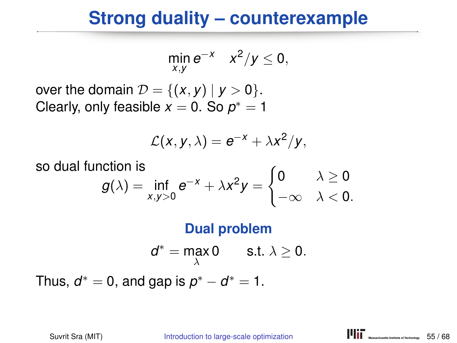$$
\min_{x,y} e^{-x} \quad x^2/y \leq 0,
$$

over the domain  $\mathcal{D} = \{(x, y) | y > 0\}.$ Clearly, only feasible  $x=0.$  So  $p^*=1$ 

$$
\mathcal{L}(x, y, \lambda) = e^{-x} + \lambda x^2/y,
$$

so dual function is  
\n
$$
g(\lambda) = \inf_{x,y>0} e^{-x} + \lambda x^2 y = \begin{cases} 0 & \lambda \ge 0 \\ -\infty & \lambda < 0. \end{cases}
$$

#### **Dual problem**

$$
d^* = \max_{\lambda} 0 \qquad \text{s.t. } \lambda \geq 0.
$$

Thus,  $d^* = 0$ , and gap is  $p^* - d^* = 1$ .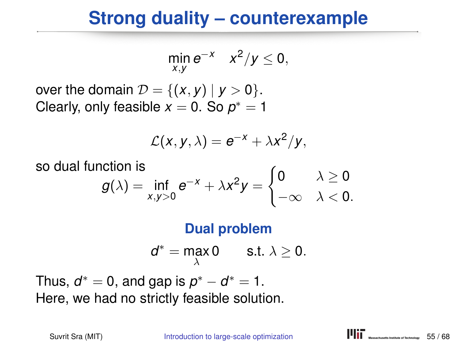$$
\min_{x,y} e^{-x} \quad x^2/y \leq 0,
$$

over the domain  $\mathcal{D} = \{(x, y) | y > 0\}.$ Clearly, only feasible  $x=0.$  So  $p^*=1$ 

$$
\mathcal{L}(x, y, \lambda) = e^{-x} + \lambda x^2/y,
$$

so dual function is  
\n
$$
g(\lambda) = \inf_{x,y>0} e^{-x} + \lambda x^2 y = \begin{cases} 0 & \lambda \ge 0 \\ -\infty & \lambda < 0. \end{cases}
$$

#### **Dual problem**

$$
d^* = \max_{\lambda} 0 \qquad \text{s.t. } \lambda \geq 0.
$$

Thus,  $d^* = 0$ , and gap is  $p^* - d^* = 1$ . Here, we had no strictly feasible solution.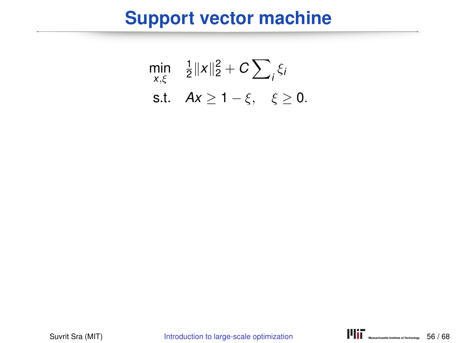#### **Support vector machine**

$$
\min_{x,\xi} \quad \frac{1}{2} ||x||_2^2 + C \sum_i \xi_i
$$
  
s.t.  $Ax \ge 1 - \xi, \quad \xi \ge 0.$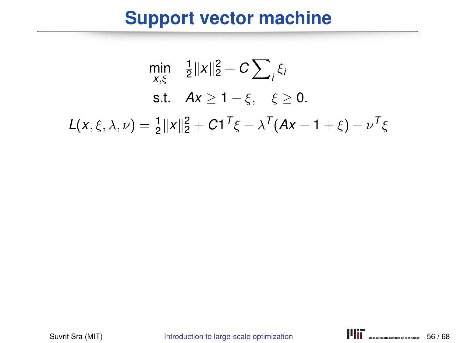#### **Support vector machine**

$$
\min_{x,\xi} \quad \frac{1}{2} ||x||_2^2 + C \sum_i \xi_i
$$
\n
$$
\text{s.t.} \quad Ax \ge 1 - \xi, \quad \xi \ge 0.
$$
\n
$$
L(x,\xi,\lambda,\nu) = \frac{1}{2} ||x||_2^2 + C1^T \xi - \lambda^T (Ax - 1 + \xi) - \nu^T \xi
$$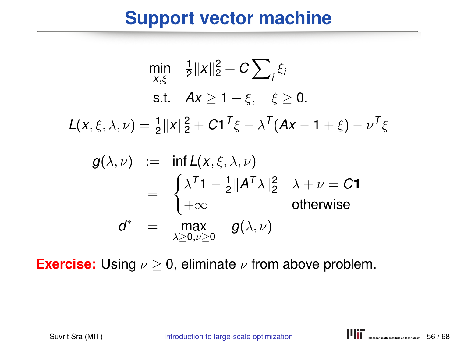#### **Support vector machine**

$$
\min_{x,\xi} \quad \frac{1}{2} \|x\|_2^2 + C \sum_i \xi_i
$$
\n
$$
\text{s.t.} \quad Ax \ge 1 - \xi, \quad \xi \ge 0.
$$
\n
$$
L(x,\xi,\lambda,\nu) = \frac{1}{2} \|x\|_2^2 + C1^T \xi - \lambda^T (Ax - 1 + \xi) - \nu^T \xi
$$
\n
$$
g(\lambda,\nu) := \inf_{\xi} L(x,\xi,\lambda,\nu)
$$
\n
$$
= \begin{cases} \lambda^T 1 - \frac{1}{2} \|A^T \lambda\|_2^2 & \lambda + \nu = C1 \\ +\infty & \text{otherwise} \end{cases}
$$
\n
$$
d^* = \max_{\lambda \ge 0, \nu \ge 0} g(\lambda,\nu)
$$

**Exercise:** Using  $\nu \geq 0$ , eliminate  $\nu$  from above problem.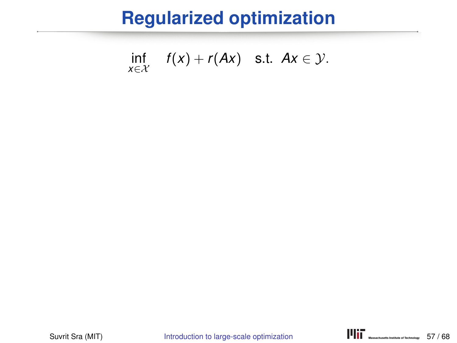$$
\inf_{x \in \mathcal{X}} f(x) + r(Ax) \quad \text{s.t.} \quad Ax \in \mathcal{Y}.
$$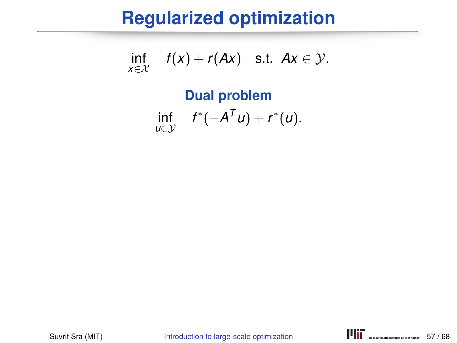$$
\inf_{x \in \mathcal{X}} f(x) + r(Ax) \quad \text{s.t.} \quad Ax \in \mathcal{Y}.
$$

#### **Dual problem** inf *u*∈Y  $f^*(-A^T u) + r^*(u).$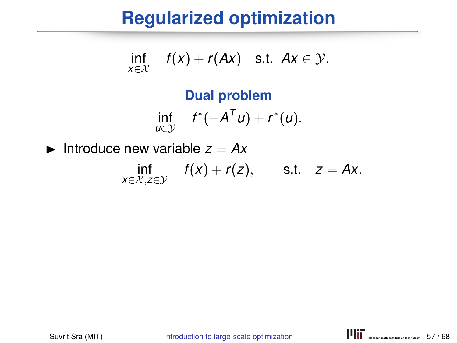$$
\inf_{x \in \mathcal{X}} f(x) + r(Ax) \quad \text{s.t.} \quad Ax \in \mathcal{Y}.
$$

#### **Dual problem** inf *u*∈Y  $f^*(-A^T u) + r^*(u).$

Introduce new variable  $z = Ax$ inf *x*∈X,*z*∈Y  $f(x) + r(z)$ , s.t.  $z = Ax$ .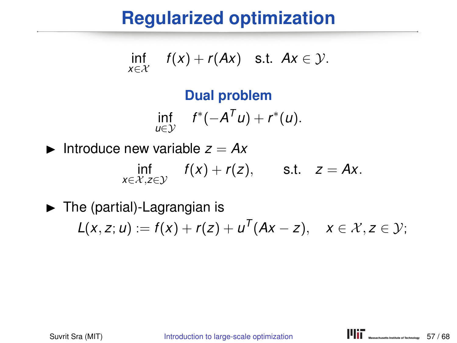$$
\inf_{x \in \mathcal{X}} f(x) + r(Ax) \quad \text{s.t.} \quad Ax \in \mathcal{Y}.
$$

#### **Dual problem**  $\inf_{u \in \mathcal{V}} f^*(-A^T u) + r^*(u).$  $u∈v$

Introduce new variable  $z = Ax$ inf *x*∈X,*z*∈Y  $f(x) + r(z)$ , s.t.  $z = Ax$ .

 $\blacktriangleright$  The (partial)-Lagrangian is  $L(x, z; u) := f(x) + r(z) + u^{T}(Ax - z), \quad x \in \mathcal{X}, z \in \mathcal{Y};$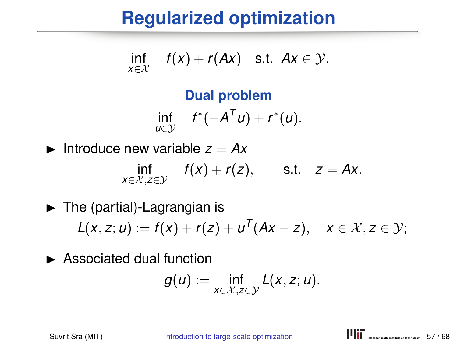$$
\inf_{x\in\mathcal{X}} f(x) + r(Ax) \quad \text{s.t. } Ax \in \mathcal{Y}.
$$

#### **Dual problem**  $\inf_{u \in \mathcal{V}} f^*(-A^T u) + r^*(u).$ *u*∈Y

Introduce new variable  $z = Ax$ inf *x*∈X,*z*∈Y  $f(x) + r(z)$ , s.t.  $z = Ax$ .

 $\blacktriangleright$  The (partial)-Lagrangian is  $L(x, z; u) := f(x) + r(z) + u^{T}(Ax - z), \quad x \in \mathcal{X}, z \in \mathcal{Y};$ 

 $\blacktriangleright$  Associated dual function

$$
g(u) := \inf_{x \in \mathcal{X}, z \in \mathcal{Y}} L(x, z; u).
$$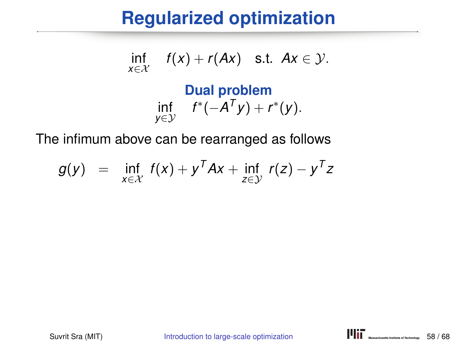$$
\inf_{x \in \mathcal{X}} f(x) + r(Ax) \quad \text{s.t.} \quad Ax \in \mathcal{Y}.
$$

#### **Dual problem** inf *y*∈Y  $f^*(-A^Ty) + r^*(y).$

The infimum above can be rearranged as follows

$$
g(y) = \inf_{x \in \mathcal{X}} f(x) + y^T A x + \inf_{z \in \mathcal{Y}} r(z) - y^T z
$$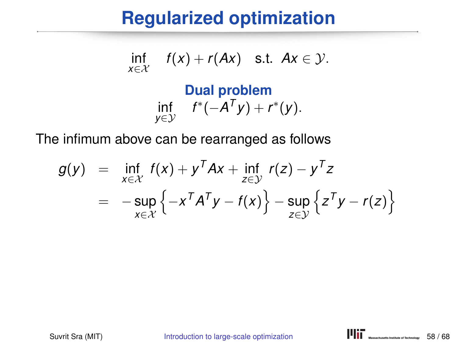$$
\inf_{x\in\mathcal{X}} f(x) + r(Ax) \quad \text{s.t.} \quad Ax \in \mathcal{Y}.
$$

#### **Dual problem** inf *y*∈Y  $f^*(-A^Ty) + r^*(y).$

The infimum above can be rearranged as follows

$$
g(y) = \inf_{x \in \mathcal{X}} f(x) + y^T A x + \inf_{z \in \mathcal{Y}} r(z) - y^T z
$$
  
= 
$$
-\sup_{x \in \mathcal{X}} \left\{-x^T A^T y - f(x)\right\} - \sup_{z \in \mathcal{Y}} \left\{z^T y - r(z)\right\}
$$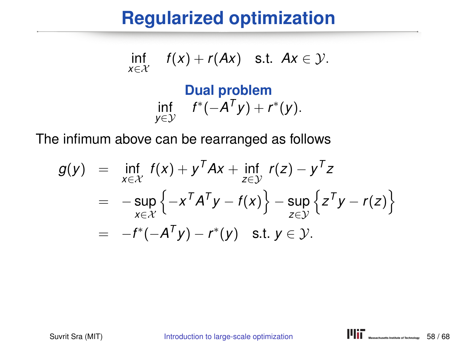$$
\inf_{x\in\mathcal{X}} f(x) + r(Ax) \quad \text{s.t.} \quad Ax \in \mathcal{Y}.
$$

#### **Dual problem** inf *y*∈Y  $f^*(-A^Ty) + r^*(y).$

The infimum above can be rearranged as follows

$$
g(y) = \inf_{x \in \mathcal{X}} f(x) + y^T A x + \inf_{z \in \mathcal{Y}} r(z) - y^T z
$$
  
= 
$$
-\sup_{x \in \mathcal{X}} \left\{-x^T A^T y - f(x)\right\} - \sup_{z \in \mathcal{Y}} \left\{z^T y - r(z)\right\}
$$
  
= 
$$
-f^*(-A^T y) - r^*(y) \text{ s.t. } y \in \mathcal{Y}.
$$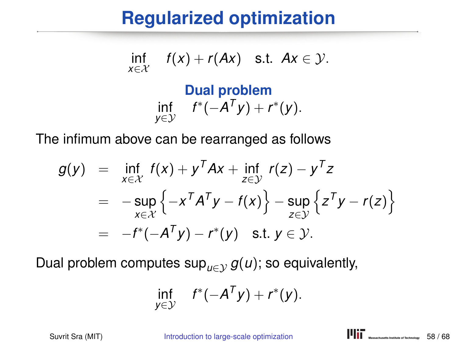$$
\inf_{x\in\mathcal{X}} f(x) + r(Ax) \quad \text{s.t. } Ax \in \mathcal{Y}.
$$

#### **Dual problem** inf *y*∈Y  $f^*(-A^Ty) + r^*(y).$

The infimum above can be rearranged as follows

$$
g(y) = \inf_{x \in \mathcal{X}} f(x) + y^T A x + \inf_{z \in \mathcal{Y}} r(z) - y^T z
$$
  
= 
$$
-\sup_{x \in \mathcal{X}} \left\{-x^T A^T y - f(x)\right\} - \sup_{z \in \mathcal{Y}} \left\{z^T y - r(z)\right\}
$$
  
= 
$$
-f^*(-A^T y) - r^*(y) \text{ s.t. } y \in \mathcal{Y}.
$$

Dual problem computes  $\sup_{u \in \mathcal{V}} g(u)$ ; so equivalently,

$$
\inf_{y\in\mathcal{Y}} f^*(-A^Ty)+r^*(y).
$$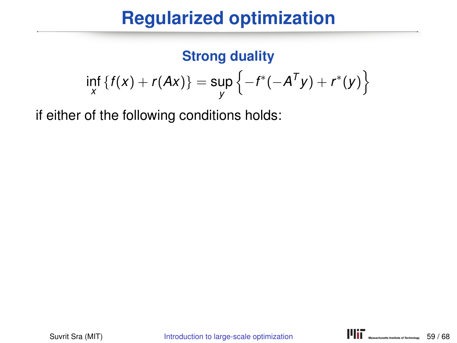#### **Strong duality**

$$
\inf_{x} \{f(x) + r(Ax)\} = \sup_{y} \{-f^*(-A^{T}y) + r^*(y)\}
$$

if either of the following conditions holds: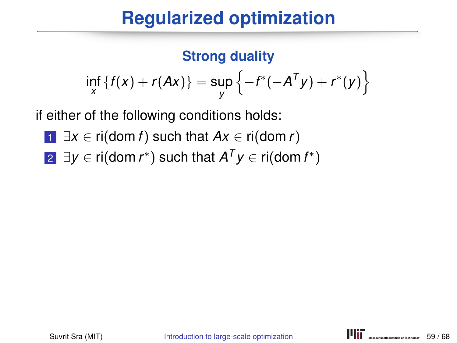#### **Strong duality**

$$
\inf_{X} \{f(x) + r(Ax)\} = \sup_{y} \{-f^*(-A^{T}y) + r^*(y)\}
$$

if either of the following conditions holds:

- <sup>1</sup> ∃*x* ∈ ri(dom *f*) such that *Ax* ∈ ri(dom *r*)
- 2 ∃*y* ∈ ri(dom *r*\*) such that  $A^Ty$  ∈ ri(dom *f*\*)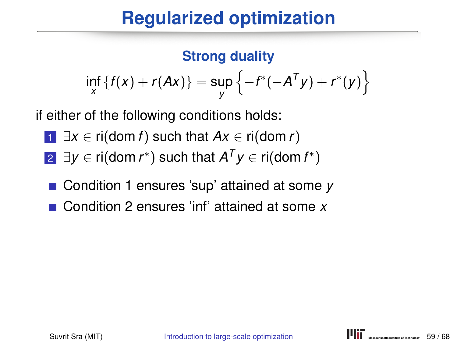#### **Strong duality**

$$
\inf_{X} \{f(x) + r(Ax)\} = \sup_{y} \{-f^*(-A^{T}y) + r^*(y)\}
$$

if either of the following conditions holds:

- <sup>1</sup> ∃*x* ∈ ri(dom *f*) such that *Ax* ∈ ri(dom *r*)
- 2 ∃*y* ∈ ri(dom *r*\*) such that  $A^Ty$  ∈ ri(dom *f*\*)
- Condition 1 ensures 'sup' attained at some *v*
- Condition 2 ensures 'inf' attained at some *x*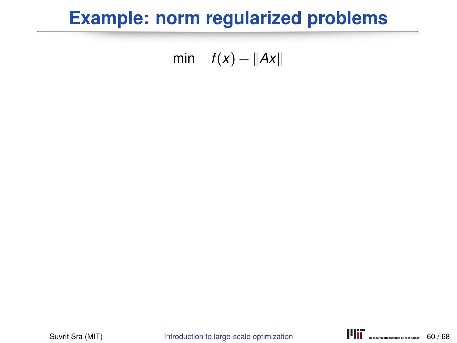### **Example: norm regularized problems**

#### min  $f(x) + ||Ax||$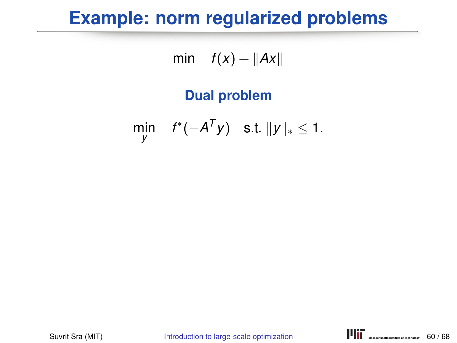### **Example: norm regularized problems**

min  $f(x) + ||Ax||$ 

#### **Dual problem**

$$
\min_{y} \quad f^*(-A^Ty) \quad \text{s.t. } \|y\|_* \leq 1.
$$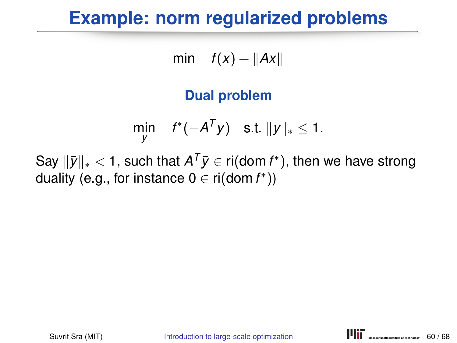### **Example: norm regularized problems**

min  $f(x) + ||Ax||$ 

#### **Dual problem**

$$
\min_{y} \quad f^*(-A^Ty) \quad \text{s.t. } \|y\|_* \leq 1.
$$

Say  $\|\bar{y}\|_* < 1$ , such that  $A^T\bar{y} \in \text{ri}(\text{dom } f^*)$ , then we have strong duality (e.g., for instance  $0 \in \mathsf{ri}(\mathsf{dom}\, f^*)$ )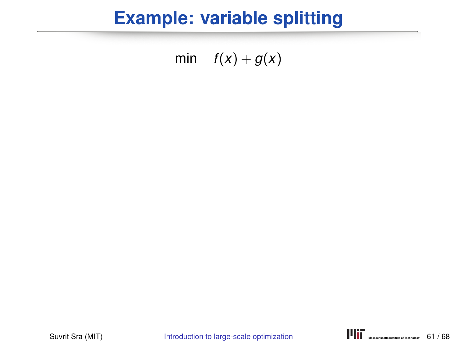min  $f(x) + g(x)$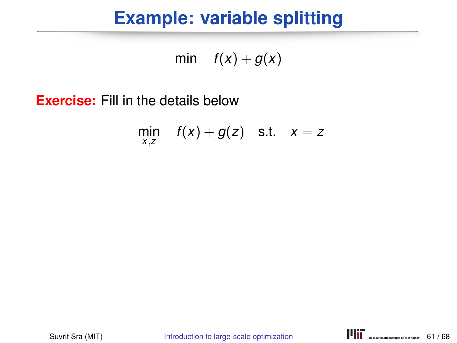min  $f(x) + g(x)$ 

**Exercise:** Fill in the details below

$$
\min_{x,z} f(x) + g(z) \quad \text{s.t.} \quad x = z
$$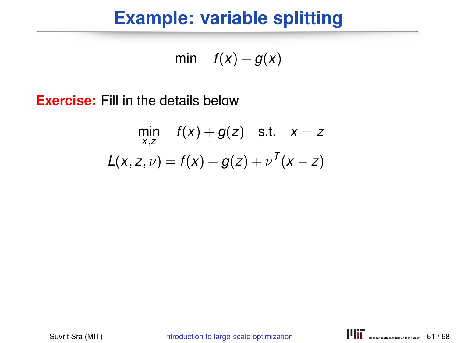min  $f(x) + g(x)$ 

**Exercise:** Fill in the details below

$$
\min_{x,z} f(x) + g(z) \quad \text{s.t.} \quad x = z
$$
  

$$
L(x, z, \nu) = f(x) + g(z) + \nu^{T}(x - z)
$$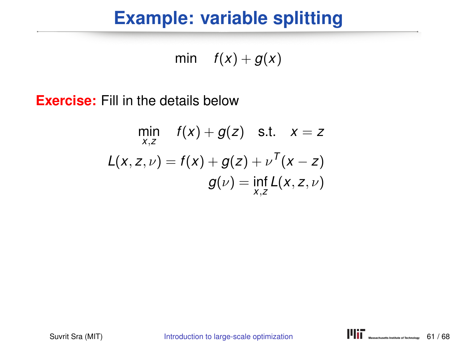min  $f(x) + g(x)$ 

**Exercise:** Fill in the details below

$$
\min_{x,z} f(x) + g(z) \quad \text{s.t.} \quad x = z
$$
\n
$$
L(x, z, \nu) = f(x) + g(z) + \nu^{T}(x - z)
$$
\n
$$
g(\nu) = \inf_{x,z} L(x, z, \nu)
$$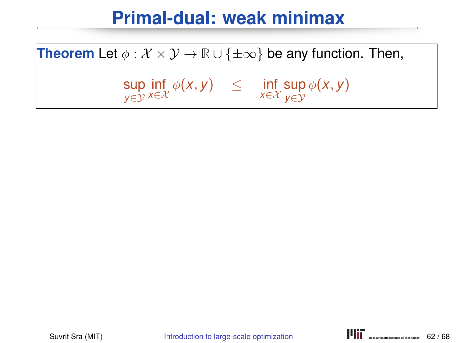**Theorem** Let  $\phi : \mathcal{X} \times \mathcal{Y} \to \mathbb{R} \cup {\{\pm \infty\}}$  be any function. Then,

sup *y*∈Y inf  $\inf_{x \in \mathcal{X}} \phi(x, y) \leq \inf_{x \in \mathcal{X}}$ sup *y*∈Y  $\phi$ (*x*, *y*)

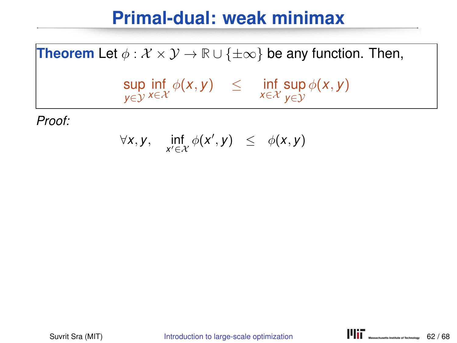#### **Theorem** Let  $\phi : \mathcal{X} \times \mathcal{Y} \to \mathbb{R} \cup \{\pm \infty\}$  be any function. Then,

$$
\sup_{y \in \mathcal{Y}} \inf_{x \in \mathcal{X}} \phi(x, y) \leq \inf_{x \in \mathcal{X}} \sup_{y \in \mathcal{Y}} \phi(x, y)
$$

$$
\forall x, y, \quad \inf_{x' \in \mathcal{X}} \phi(x', y) \leq \phi(x, y)
$$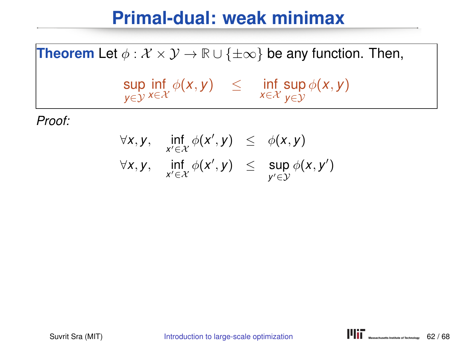#### **Theorem** Let  $\phi : \mathcal{X} \times \mathcal{Y} \to \mathbb{R} \cup \{\pm \infty\}$  be any function. Then,

$$
\sup_{y\in\mathcal{Y}}\inf_{x\in\mathcal{X}}\phi(x,y) \quad \leq \quad \inf_{x\in\mathcal{X}}\sup_{y\in\mathcal{Y}}\phi(x,y)
$$

$$
\forall x, y, \quad \inf_{x' \in \mathcal{X}} \phi(x', y) \leq \phi(x, y)
$$
  

$$
\forall x, y, \quad \inf_{x' \in \mathcal{X}} \phi(x', y) \leq \sup_{y' \in \mathcal{Y}} \phi(x, y')
$$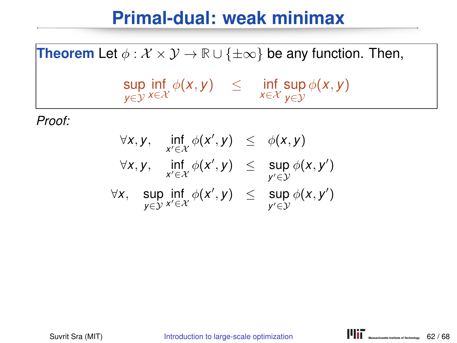**Theorem** Let  $\phi : \mathcal{X} \times \mathcal{Y} \to \mathbb{R} \cup \{\pm \infty\}$  be any function. Then,

$$
\sup_{y \in \mathcal{Y}} \inf_{x \in \mathcal{X}} \phi(x, y) \leq \inf_{x \in \mathcal{X}} \sup_{y \in \mathcal{Y}} \phi(x, y)
$$

$$
\forall x, y, \quad \inf_{x' \in \mathcal{X}} \phi(x', y) \leq \phi(x, y)
$$
  

$$
\forall x, y, \quad \inf_{x' \in \mathcal{X}} \phi(x', y) \leq \sup_{y' \in \mathcal{Y}} \phi(x, y')
$$
  

$$
\forall x, \quad \sup_{y \in \mathcal{Y}} \inf_{x' \in \mathcal{X}} \phi(x', y) \leq \sup_{y' \in \mathcal{Y}} \phi(x, y')
$$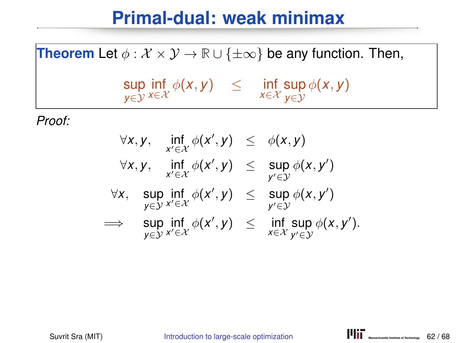**Theorem** Let  $\phi : \mathcal{X} \times \mathcal{Y} \to \mathbb{R} \cup \{\pm \infty\}$  be any function. Then,

$$
\sup_{y \in \mathcal{Y}} \inf_{x \in \mathcal{X}} \phi(x, y) \leq \inf_{x \in \mathcal{X}} \sup_{y \in \mathcal{Y}} \phi(x, y)
$$

$$
\forall x, y, \quad \inf_{x' \in \mathcal{X}} \phi(x', y) \leq \phi(x, y)
$$
  
\n
$$
\forall x, y, \quad \inf_{x' \in \mathcal{X}} \phi(x', y) \leq \sup_{y' \in \mathcal{Y}} \phi(x, y')
$$
  
\n
$$
\forall x, \quad \sup_{y \in \mathcal{Y}} \inf_{x' \in \mathcal{X}} \phi(x', y) \leq \sup_{y' \in \mathcal{Y}} \phi(x, y')
$$
  
\n
$$
\implies \quad \sup_{y \in \mathcal{Y}} \inf_{x' \in \mathcal{X}} \phi(x', y) \leq \inf_{x \in \mathcal{X}} \sup_{y' \in \mathcal{Y}} \phi(x, y').
$$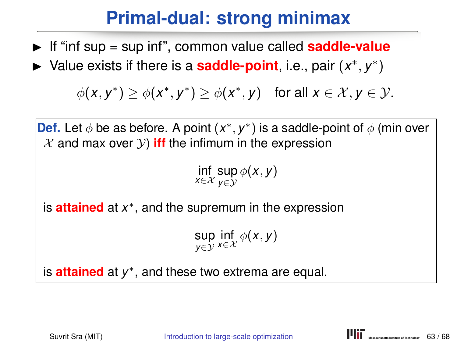## **Primal-dual: strong minimax**

- If "inf sup = sup inf", common value called **saddle-value**
- ► Value exists if there is a **saddle-point**, i.e., pair  $(x^*, y^*)$

 $\phi(x, y^*) \geq \phi(x^*, y^*) \geq \phi(x^*, y)$  for all  $x \in \mathcal{X}, y \in \mathcal{Y}$ .

**Def.** Let  $\phi$  be as before. A point  $(x^*, y^*)$  is a saddle-point of  $\phi$  (min over  $X$  and max over  $Y$ ) iff the infimum in the expression

 $\inf_{x \in \mathcal{X}} \sup_{y \in \mathcal{Y}} \phi(x, y)$ 

is **attained** at *x* ∗ , and the supremum in the expression

 $\sup_{y\in\mathcal{Y}}\inf_{x\in\mathcal{X}}\phi(x,y)$ 

is **attained** at *y* ∗ , and these two extrema are equal.

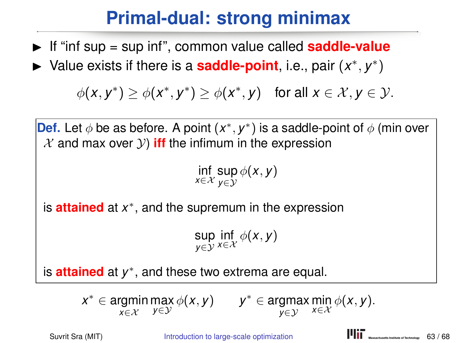# **Primal-dual: strong minimax**

- If "inf sup = sup inf", common value called **saddle-value**
- ► Value exists if there is a **saddle-point**, i.e., pair  $(x^*, y^*)$

 $\phi(x, y^*) \geq \phi(x^*, y^*) \geq \phi(x^*, y)$  for all  $x \in \mathcal{X}, y \in \mathcal{Y}$ .

**Def.** Let  $\phi$  be as before. A point  $(x^*, y^*)$  is a saddle-point of  $\phi$  (min over  $X$  and max over  $Y$ ) iff the infimum in the expression

 $\inf_{x \in \mathcal{X}} \sup_{y \in \mathcal{Y}} \phi(x, y)$ 

is **attained** at *x* ∗ , and the supremum in the expression

 $\sup_{y\in\mathcal{Y}}\inf_{x\in\mathcal{X}}\phi(x,y)$ 

is **attained** at *y* ∗ , and these two extrema are equal.

 $x^* \in \text{argmin}_{x \in \mathcal{X}} \max_{y \in \mathcal{Y}} \phi(x, y) \qquad y^* \in \text{argmax}_{y \in \mathcal{Y}} \min_{x \in \mathcal{X}} \phi(x, y).$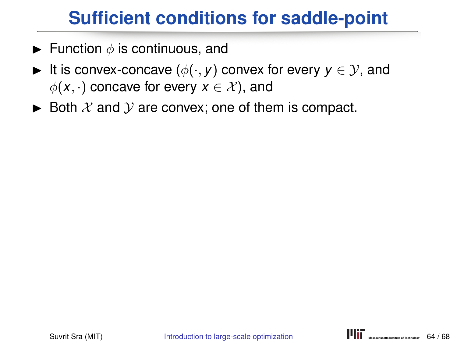# **Sufficient conditions for saddle-point**

- **Function**  $\phi$  is continuous, and
- It is convex-concave  $(\phi(\cdot, y))$  convex for every  $y \in \mathcal{Y}$ , and  $\phi(x, \cdot)$  concave for every  $x \in \mathcal{X}$ , and
- $\triangleright$  Both X and Y are convex; one of them is compact.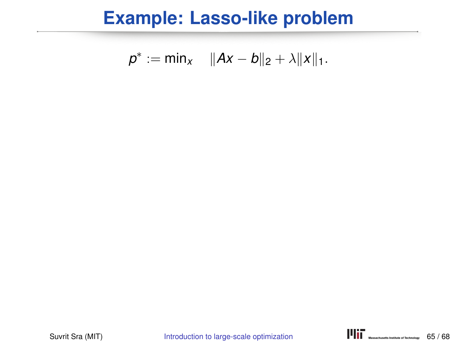$$
p^* := \min_{x} \quad \|Ax - b\|_2 + \lambda \|x\|_1.
$$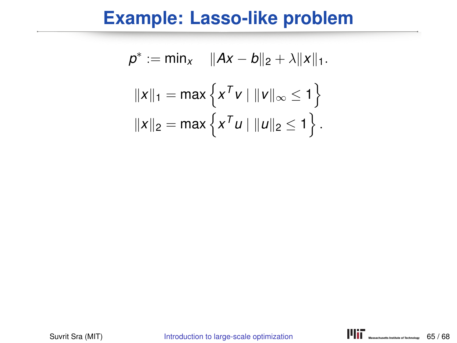$$
p^* := \min_{x} \quad ||Ax - b||_2 + \lambda ||x||_1.
$$

$$
||x||_1 = \max \{ x^T v \mid ||v||_{\infty} \le 1 \}
$$

$$
||x||_2 = \max \{ x^T u \mid ||u||_2 \le 1 \}.
$$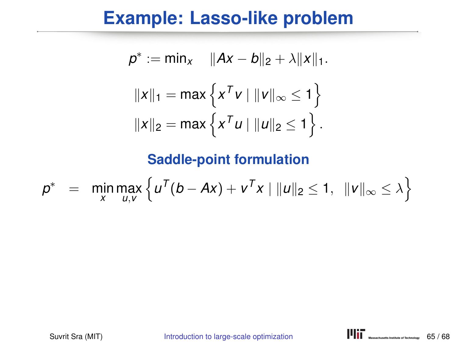$$
p^* := \min_{x} \quad ||Ax - b||_2 + \lambda ||x||_1.
$$

$$
||x||_1 = \max \{ x^T v \mid ||v||_{\infty} \le 1 \}
$$

$$
||x||_2 = \max \{ x^T u \mid ||u||_2 \le 1 \}.
$$

$$
p^* = \min_{x} \max_{u,v} \left\{ u^T(b - Ax) + v^T x \mid ||u||_2 \le 1, ||v||_{\infty} \le \lambda \right\}
$$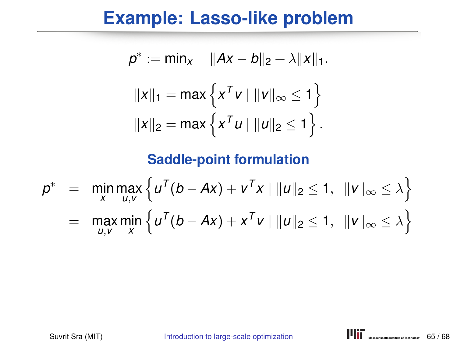$$
p^* := \min_{x} \quad ||Ax - b||_2 + \lambda ||x||_1.
$$

$$
||x||_1 = \max \{ x^T v \mid ||v||_{\infty} \le 1 \}
$$

$$
||x||_2 = \max \{ x^T u \mid ||u||_2 \le 1 \}.
$$

$$
p^* = \min_{x} \max_{u,v} \left\{ u^T(b - Ax) + v^T x \mid ||u||_2 \le 1, ||v||_{\infty} \le \lambda \right\}
$$
  
= 
$$
\max_{u,v} \min_{x} \left\{ u^T(b - Ax) + x^T v \mid ||u||_2 \le 1, ||v||_{\infty} \le \lambda \right\}
$$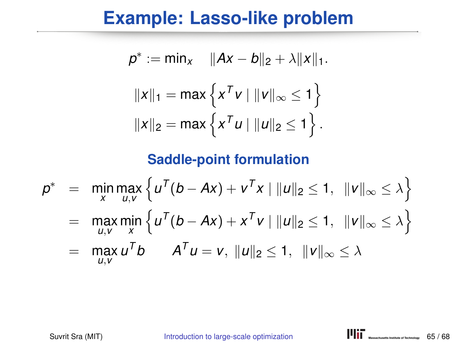$$
p^* := \min_{x} \quad ||Ax - b||_2 + \lambda ||x||_1.
$$

$$
||x||_1 = \max \{ x^T v \mid ||v||_{\infty} \le 1 \}
$$

$$
||x||_2 = \max \{ x^T u \mid ||u||_2 \le 1 \}.
$$

$$
p^* = \min_{x} \max_{u,v} \left\{ u^T(b - Ax) + v^T x \mid ||u||_2 \le 1, ||v||_{\infty} \le \lambda \right\}
$$
  
= 
$$
\max_{u,v} \min_{x} \left\{ u^T(b - Ax) + x^T v \mid ||u||_2 \le 1, ||v||_{\infty} \le \lambda \right\}
$$

$$
= \max_{u,v} u^T b \qquad A^T u = v, \ \|u\|_2 \leq 1, \ \|v\|_{\infty} \leq \lambda
$$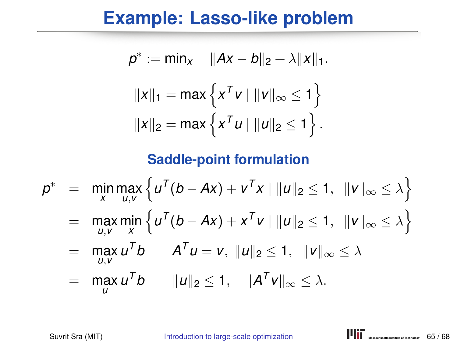$$
p^* := \min_X \quad ||Ax - b||_2 + \lambda ||x||_1.
$$

$$
||x||_1 = \max \{ x^T v \mid ||v||_{\infty} \le 1 \}
$$

$$
||x||_2 = \max \{ x^T u \mid ||u||_2 \le 1 \}.
$$

$$
p^* = \min_{x} \max_{u,v} \left\{ u^T(b - Ax) + v^T x \mid ||u||_2 \le 1, ||v||_{\infty} \le \lambda \right\}
$$
  
= 
$$
\max_{u,v} \min_{x} \left\{ u^T(b - Ax) + x^T v \mid ||u||_2 \le 1, ||v||_{\infty} \le \lambda \right\}
$$
  
= 
$$
\max_{u,v} u^T b \qquad A^T u = v, ||u||_2 \le 1, ||v||_{\infty} \le \lambda
$$
  
= 
$$
\max_{u} u^T b \qquad ||u||_2 \le 1, ||A^T v||_{\infty} \le \lambda.
$$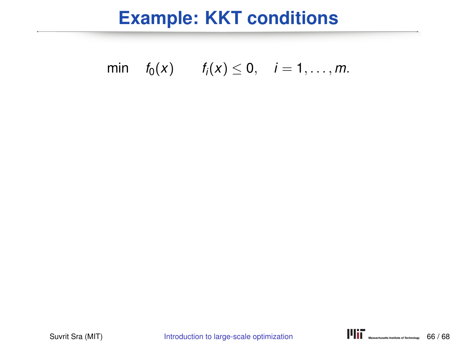min 
$$
f_0(x)
$$
  $f_i(x) \le 0$ ,  $i = 1, ..., m$ .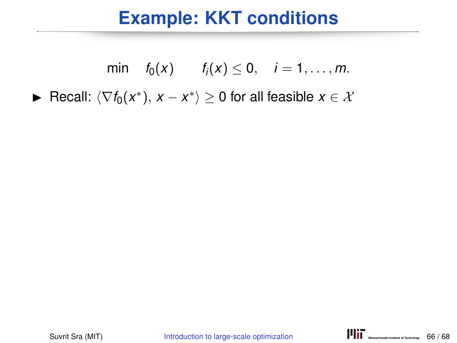min 
$$
f_0(x)
$$
  $f_i(x) \le 0$ ,  $i = 1, ..., m$ .

► Recall:  $\langle \nabla f_0(x^*), x - x^* \rangle \geq 0$  for all feasible  $x \in \mathcal{X}$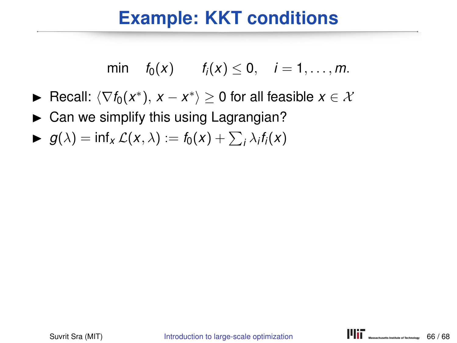min 
$$
f_0(x)
$$
  $f_i(x) \le 0$ ,  $i = 1, ..., m$ .

- ► Recall:  $\langle \nabla f_0(x^*), x x^* \rangle \geq 0$  for all feasible  $x \in \mathcal{X}$
- $\triangleright$  Can we simplify this using Lagrangian?
- $\blacktriangleright$   $g(\lambda) = \inf_{x} \mathcal{L}(x, \lambda) := f_0(x) + \sum_i \lambda_i f_i(x)$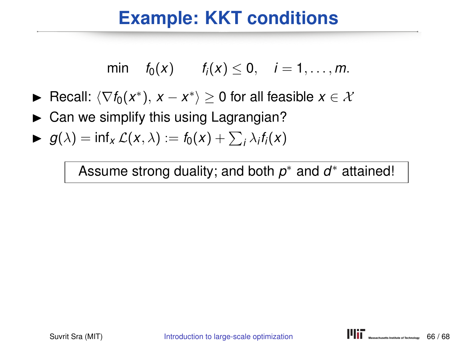min 
$$
f_0(x)
$$
  $f_i(x) \le 0$ ,  $i = 1, ..., m$ .

- ► Recall:  $\langle \nabla f_0(x^*), x x^* \rangle \geq 0$  for all feasible  $x \in \mathcal{X}$
- $\triangleright$  Can we simplify this using Lagrangian?
- $\blacktriangleright$   $g(\lambda) = \inf_{x} \mathcal{L}(x, \lambda) := f_0(x) + \sum_i \lambda_i f_i(x)$

Assume strong duality; and both *p* ∗ and *d* ∗ attained!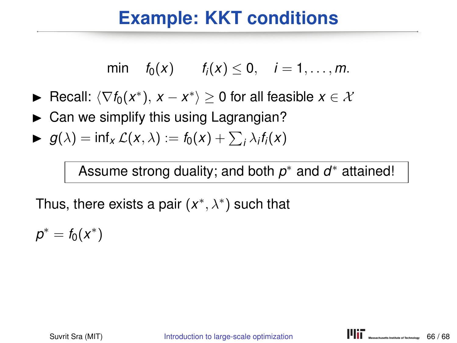min 
$$
f_0(x)
$$
  $f_i(x) \le 0$ ,  $i = 1, ..., m$ .

- ► Recall:  $\langle \nabla f_0(x^*), x x^* \rangle \geq 0$  for all feasible  $x \in \mathcal{X}$
- $\triangleright$  Can we simplify this using Lagrangian?
- $\blacktriangleright$   $g(\lambda) = \inf_{x} \mathcal{L}(x, \lambda) := f_0(x) + \sum_i \lambda_i f_i(x)$

Assume strong duality; and both *p* ∗ and *d* ∗ attained!

Thus, there exists a pair (*x* ∗ , λ∗ ) such that

 $p^* = f_0(x^*)$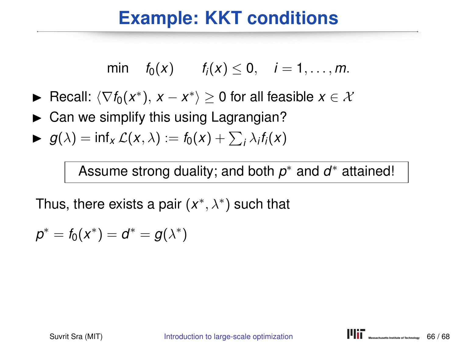min 
$$
f_0(x)
$$
  $f_i(x) \le 0$ ,  $i = 1, ..., m$ .

- ► Recall:  $\langle \nabla f_0(x^*), x x^* \rangle \geq 0$  for all feasible  $x \in \mathcal{X}$
- $\triangleright$  Can we simplify this using Lagrangian?
- $\blacktriangleright$   $g(\lambda) = \inf_{x} \mathcal{L}(x, \lambda) := f_0(x) + \sum_i \lambda_i f_i(x)$

Assume strong duality; and both *p* ∗ and *d* ∗ attained!

$$
\rho^* = f_0(x^*) = d^* = g(\lambda^*)
$$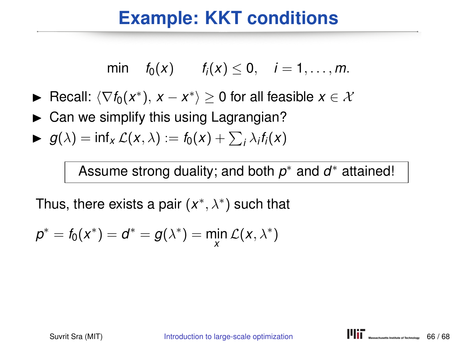min 
$$
f_0(x)
$$
  $f_i(x) \le 0$ ,  $i = 1, ..., m$ .

- ► Recall:  $\langle \nabla f_0(x^*), x x^* \rangle \geq 0$  for all feasible  $x \in \mathcal{X}$
- $\triangleright$  Can we simplify this using Lagrangian?
- $\blacktriangleright$   $g(\lambda) = \inf_{x} \mathcal{L}(x, \lambda) := f_0(x) + \sum_i \lambda_i f_i(x)$

Assume strong duality; and both *p* ∗ and *d* ∗ attained!

$$
p^* = f_0(x^*) = d^* = g(\lambda^*) = \min_{x} \mathcal{L}(x, \lambda^*)
$$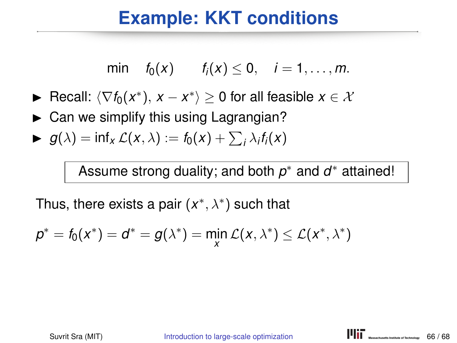min 
$$
f_0(x)
$$
  $f_i(x) \le 0$ ,  $i = 1, ..., m$ .

- ► Recall:  $\langle \nabla f_0(x^*), x x^* \rangle \geq 0$  for all feasible  $x \in \mathcal{X}$
- $\triangleright$  Can we simplify this using Lagrangian?
- $\blacktriangleright$   $g(\lambda) = \inf_{x} \mathcal{L}(x, \lambda) := f_0(x) + \sum_i \lambda_i f_i(x)$

Assume strong duality; and both *p* ∗ and *d* ∗ attained!

$$
p^* = f_0(x^*) = d^* = g(\lambda^*) = \min_{x} \mathcal{L}(x, \lambda^*) \leq \mathcal{L}(x^*, \lambda^*)
$$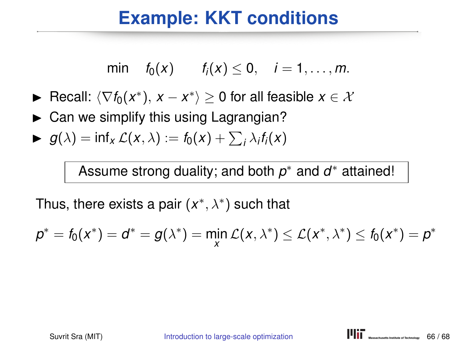min 
$$
f_0(x)
$$
  $f_i(x) \le 0$ ,  $i = 1, ..., m$ .

- ► Recall:  $\langle \nabla f_0(x^*), x x^* \rangle \geq 0$  for all feasible  $x \in \mathcal{X}$
- $\triangleright$  Can we simplify this using Lagrangian?
- $\blacktriangleright$   $g(\lambda) = \inf_{x} \mathcal{L}(x, \lambda) := f_0(x) + \sum_i \lambda_i f_i(x)$

Assume strong duality; and both *p* ∗ and *d* ∗ attained!

$$
p^* = f_0(x^*) = d^* = g(\lambda^*) = \min_{x} \mathcal{L}(x, \lambda^*) \leq \mathcal{L}(x^*, \lambda^*) \leq f_0(x^*) = p^*
$$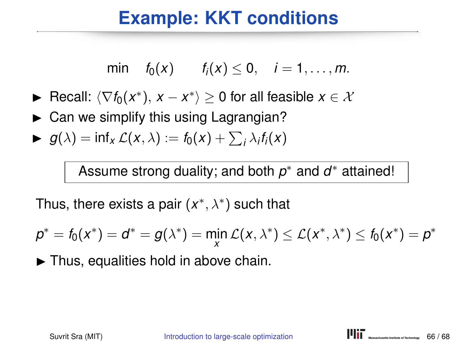min 
$$
f_0(x)
$$
  $f_i(x) \le 0$ ,  $i = 1, ..., m$ .

- ► Recall:  $\langle \nabla f_0(x^*), x x^* \rangle \geq 0$  for all feasible  $x \in \mathcal{X}$
- $\triangleright$  Can we simplify this using Lagrangian?
- $\blacktriangleright$   $g(\lambda) = \inf_{x} \mathcal{L}(x, \lambda) := f_0(x) + \sum_i \lambda_i f_i(x)$

Assume strong duality; and both *p* ∗ and *d* ∗ attained!

Thus, there exists a pair (*x* ∗ , λ∗ ) such that

$$
p^* = f_0(x^*) = d^* = g(\lambda^*) = \min_{x} \mathcal{L}(x, \lambda^*) \leq \mathcal{L}(x^*, \lambda^*) \leq f_0(x^*) = p^*
$$

 $\blacktriangleright$  Thus, equalities hold in above chain.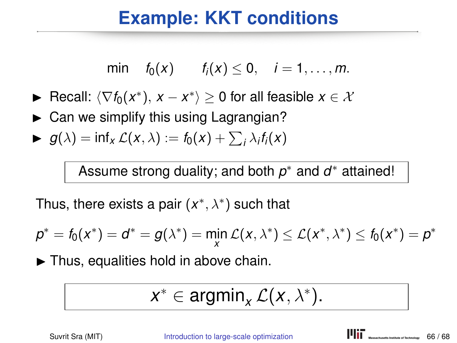min 
$$
f_0(x)
$$
  $f_i(x) \le 0$ ,  $i = 1, ..., m$ .

- ► Recall:  $\langle \nabla f_0(x^*), x x^* \rangle \geq 0$  for all feasible  $x \in \mathcal{X}$
- $\triangleright$  Can we simplify this using Lagrangian?
- $\blacktriangleright$   $g(\lambda) = \inf_{x} \mathcal{L}(x, \lambda) := f_0(x) + \sum_i \lambda_i f_i(x)$

Assume strong duality; and both *p* ∗ and *d* ∗ attained!

Thus, there exists a pair (*x* ∗ , λ∗ ) such that

$$
p^* = f_0(x^*) = d^* = g(\lambda^*) = \min_{x} \mathcal{L}(x, \lambda^*) \leq \mathcal{L}(x^*, \lambda^*) \leq f_0(x^*) = p^*
$$

 $\blacktriangleright$  Thus, equalities hold in above chain.

$$
x^* \in \operatorname{argmin}_x \mathcal{L}(x, \lambda^*).
$$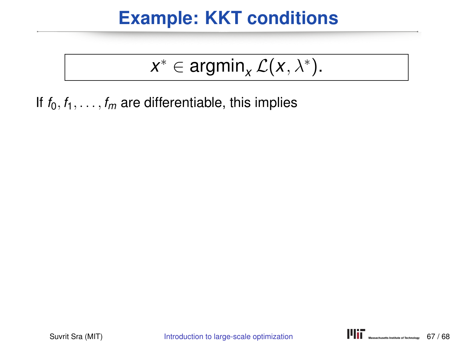# $x^* \in \operatorname{argmin}_x \mathcal{L}(x, \lambda^*)$ .

If  $f_0, f_1, \ldots, f_m$  are differentiable, this implies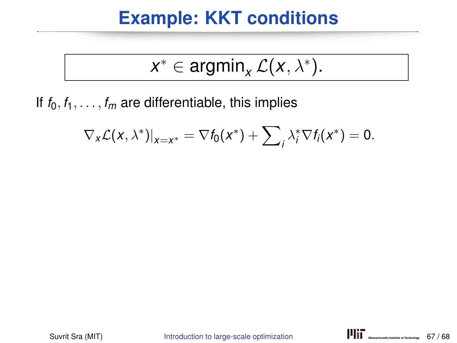$$
x^* \in \operatorname{argmin}_x \mathcal{L}(x, \lambda^*).
$$

If  $f_0, f_1, \ldots, f_m$  are differentiable, this implies

$$
\nabla_{\mathsf{x}} \mathcal{L}(\mathsf{x},\lambda^*)|_{\mathsf{x}=\mathsf{x}^*}=\nabla f_0(\mathsf{x}^*)+\sum_i \lambda_i^* \nabla f_i(\mathsf{x}^*)=0.
$$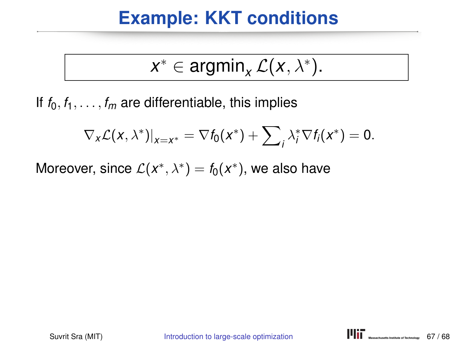$$
x^* \in \operatorname{argmin}_x \mathcal{L}(x, \lambda^*).
$$

If  $f_0, f_1, \ldots, f_m$  are differentiable, this implies

$$
\nabla_{\mathsf{x}} \mathcal{L}(\mathsf{x},\lambda^*)|_{\mathsf{x}=\mathsf{x}^*}=\nabla f_0(\mathsf{x}^*)+\sum_i \lambda_i^* \nabla f_i(\mathsf{x}^*)=0.
$$

Moreover, since  $\mathcal{L}(x^*, \lambda^*) = f_0(x^*)$ , we also have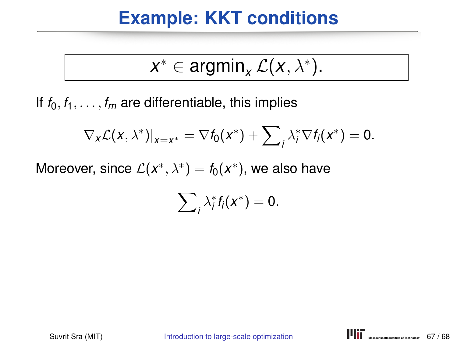$$
x^* \in \operatorname{argmin}_x \mathcal{L}(x, \lambda^*).
$$

If  $f_0, f_1, \ldots, f_m$  are differentiable, this implies

$$
\nabla_{\mathsf{x}} \mathcal{L}(\mathsf{x},\lambda^*)|_{\mathsf{x}=\mathsf{x}^*}=\nabla f_0(\mathsf{x}^*)+\sum_i \lambda_i^* \nabla f_i(\mathsf{x}^*)=0.
$$

Moreover, since  $\mathcal{L}(x^*, \lambda^*) = f_0(x^*)$ , we also have

$$
\sum\nolimits_i \lambda_i^* f_i(x^*) = 0.
$$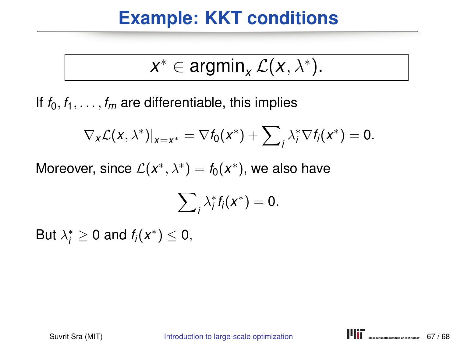$$
x^* \in \operatorname{argmin}_x \mathcal{L}(x, \lambda^*).
$$

If  $f_0, f_1, \ldots, f_m$  are differentiable, this implies

$$
\nabla_{\mathsf{x}} \mathcal{L}(\mathsf{x},\lambda^*)|_{\mathsf{x}=\mathsf{x}^*}=\nabla f_0(\mathsf{x}^*)+\sum_i \lambda_i^* \nabla f_i(\mathsf{x}^*)=0.
$$

Moreover, since  $\mathcal{L}(x^*, \lambda^*) = f_0(x^*)$ , we also have

$$
\sum\nolimits_i \lambda_i^* f_i(x^*) = 0.
$$

But  $\lambda_i^* \geq 0$  and  $f_i(x^*) \leq 0$ ,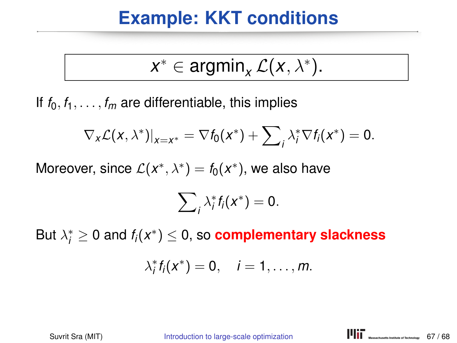$$
x^* \in \operatorname{argmin}_x \mathcal{L}(x, \lambda^*).
$$

If  $f_0, f_1, \ldots, f_m$  are differentiable, this implies

$$
\nabla_{\mathsf{x}} \mathcal{L}(\mathsf{x},\lambda^*)|_{\mathsf{x}=\mathsf{x}^*}=\nabla f_0(\mathsf{x}^*)+\sum_i \lambda_i^* \nabla f_i(\mathsf{x}^*)=0.
$$

Moreover, since  $\mathcal{L}(x^*, \lambda^*) = f_0(x^*)$ , we also have

$$
\sum\nolimits_i \lambda_i^* f_i(x^*) = 0.
$$

But  $\lambda^*_i \geq 0$  and  $f_i(x^*) \leq 0$ , so  $\boldsymbol{\textbf{complementary slackness}}$ 

$$
\lambda_i^* f_i(x^*) = 0, \quad i = 1, \ldots, m.
$$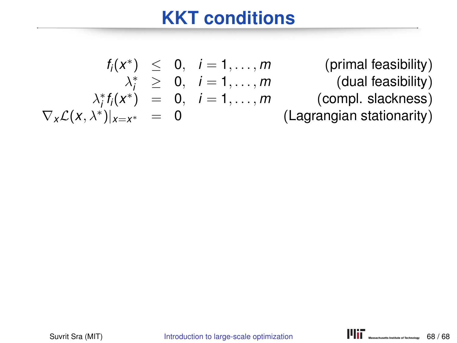) ≤ 0, *i* = 1, . . . , *m* (primal feasibility)  $\lambda_i^* \geq 0, \quad i = 1, \ldots, m$  (dual feasibility)  $\lambda_i^* f_i(x^*) = 0, \quad i = 1, \ldots, m$  (compl. slackness) (Lagrangian stationarity)

*fi*(*x* ∗

 $\nabla_x \mathcal{L}(x, \lambda^*)|_{x=x}$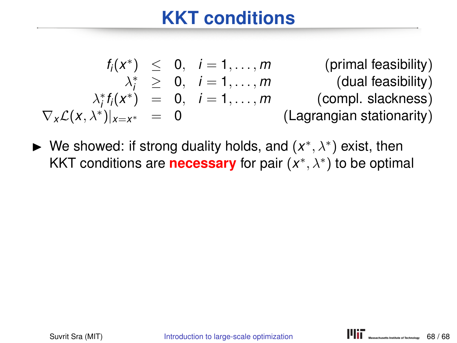$$
f_i(x^*) \leq 0, \quad i = 1,...,m \quad \text{(primal feasibility)}
$$
\n
$$
\lambda_i^* \geq 0, \quad i = 1,...,m \quad \text{(dual feasibility)}
$$
\n
$$
\lambda_i^* f_i(x^*) = 0, \quad i = 1,...,m \quad \text{(compl. slackness)}
$$
\n
$$
\nabla_x \mathcal{L}(x, \lambda^*)|_{x=x^*} = 0 \quad \text{(Lagrangian stationarity)}
$$

► We showed: if strong duality holds, and  $(x^*, \lambda^*)$  exist, then KKT conditions are **necessary** for pair (*x*\*,  $\lambda$ \*) to be optimal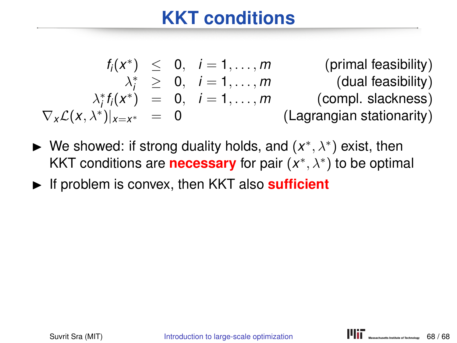$$
f_i(x^*) \leq 0, \quad i = 1,...,m \quad \text{(primal feasibility)}
$$
\n
$$
\lambda_i^* \geq 0, \quad i = 1,...,m \quad \text{(dual feasibility)}
$$
\n
$$
\lambda_i^* f_i(x^*) = 0, \quad i = 1,...,m \quad \text{(compl. slackness)}
$$
\n
$$
\nabla_x \mathcal{L}(x, \lambda^*)|_{x=x^*} = 0 \quad \text{(Lagrangian stationarity)}
$$

- ► We showed: if strong duality holds, and  $(x^*, \lambda^*)$  exist, then KKT conditions are **necessary** for pair (*x*\*,  $\lambda$ \*) to be optimal
- If problem is convex, then KKT also **sufficient**